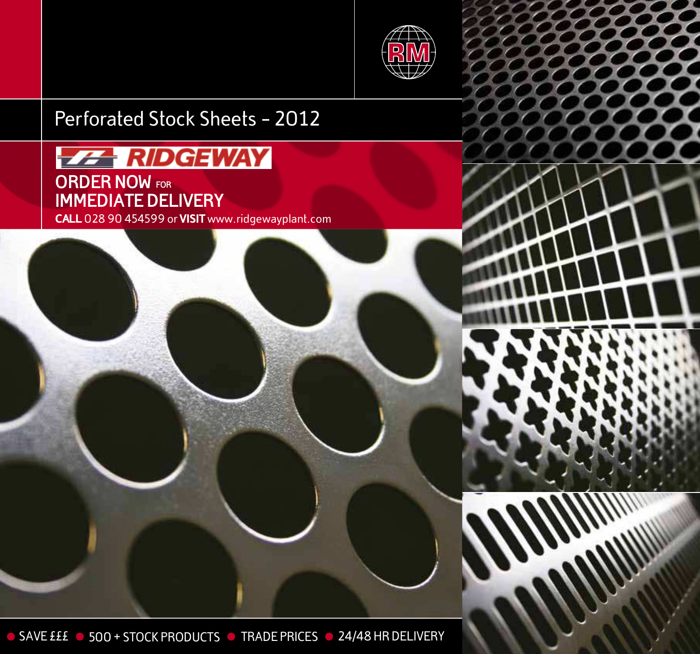

# Perforated Stock Sheets - 2012

CALL 028 90 454599 or VISIT www.ridgewayplant.com **ORDER NOW FORIMMEDIATE DELIVERY**

O SAVE £££ 0 500 + STOCK PRODUCTS O TRADE PRICES 0 24/48 HR DELIVERY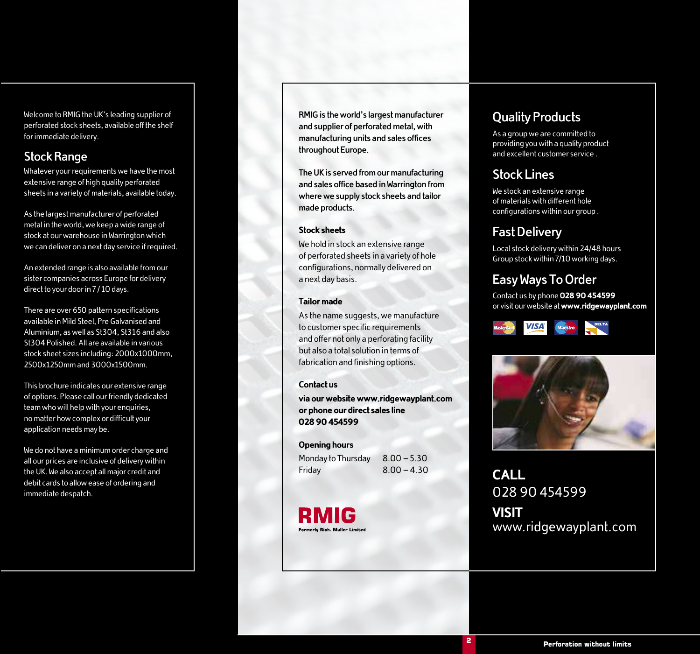Welcome to RMIG the UK's leading supplier of perforated stock sheets, available off the shelf for immediate delivery.

#### **Stock Range**

Whatever your requirements we have the most extensive range of high quality perforated sheets in a variety of materials, available today.

As the largest manufacturer of perforated metal in the world, we keep a wide range of stock at our warehouse in Warrington which we can deliver on a next day service if required.

An extended range is also available from our sister companies across Europe for delivery direct to your door in 7 / 10 days.

There are over 650 pattern specifications available in Mild Steel, Pre Galvanised and Aluminium, as well as St304, St316 and also St304 Polished. All are available in various stock sheet sizes including: 2000x1000mm, 2500x1250mm and 3000x1500mm.

This brochure indicates our extensive range of options. Please call our friendly dedicated team who will help with your enquiries, no matter how complex or difficult your application needs may be.

We do not have a minimum order charge and all our prices are inclusive of delivery within the UK. We also accept all major credit and debit cards to allow ease of ordering and immediate despatch.

**RMIG is the world's largest manufacturer and supplier of perforated metal, with manufacturing units and sales offices throughout Europe.**

**The UK is served from our manufacturing and sales office based in Warrington from where we supply stock sheets and tailor made products.**

#### Stock sheets

We hold in stock an extensive range of perforated sheets in a variety of hole configurations, normally delivered on a next day basis.

#### Tailor made

As the name suggests, we manufacture to customer specific requirements and offer not only a perforating facility but also a total solution in terms of fabrication and finishing options.

#### Contact us

via our website www.ridgewayplant.com or phone our direct sales line 028 90 454599

#### Opening hours

Monday to Thursday 8.00 - 5.30 Friday 8.00 – 4.30



#### **Quality Products**

As a group we are committed to providing you with a quality product and excellent customer service .

#### **Stock Lines**

We stock an extensive range of materials with different hole configurations within our group .

#### **Fast Delivery**

Local stock delivery within 24/48 hours Group stock within 7/10 working days.

#### **Easy Ways To Order**

Contact us by phone 028 90 454599 or visit our website at www.ridgewayplant.com





**CALL** 028 90 454599 **VISIT** www.ridgewayplant.com

**4 2**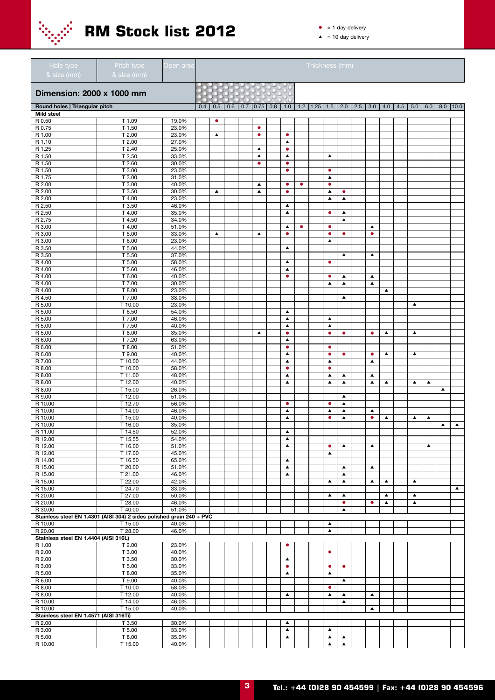

- $\bullet$  = 1 day delivery
- $\triangle$  = 10 day delivery

| Hole type<br>& size (mm)               | Pitch type<br>& size (mm)                                             | Open area      |     |                  |     |     |                  |     |                                      |           | Thickness (mm)     |                                      |                                      |                                      |                  |     |                  |                  |                  |                  |
|----------------------------------------|-----------------------------------------------------------------------|----------------|-----|------------------|-----|-----|------------------|-----|--------------------------------------|-----------|--------------------|--------------------------------------|--------------------------------------|--------------------------------------|------------------|-----|------------------|------------------|------------------|------------------|
| Dimension: 2000 x 1000 mm              |                                                                       |                |     |                  |     |     |                  |     |                                      |           |                    |                                      |                                      |                                      |                  |     |                  |                  |                  |                  |
| Round holes   Triangular pitch         |                                                                       |                | 0.4 | 0.5              | 0.6 | 0.7 | 0.75             | 0.8 | 1.0                                  |           | $1.2$   1.25   1.5 |                                      | $2.0$   2.5                          | 3.0                                  | 4.0              | 4.5 | 5.0              | 6.0              | 8.0              | 10.0             |
| <b>Mild steel</b>                      |                                                                       |                |     |                  |     |     |                  |     |                                      |           |                    |                                      |                                      |                                      |                  |     |                  |                  |                  |                  |
| R 0.50<br>R 0.75                       | T 1.09<br>T 1.50                                                      | 19.0%<br>23.0% |     | $\bullet$        |     |     | $\bullet$        |     |                                      |           |                    |                                      |                                      |                                      |                  |     |                  |                  |                  |                  |
| R 1.00                                 | T 2.00                                                                | 23.0%          |     | $\blacktriangle$ |     |     | $\bullet$        |     | $\bullet$                            |           |                    |                                      |                                      |                                      |                  |     |                  |                  |                  |                  |
| R 1.10                                 | T 2.00                                                                | 27.0%          |     |                  |     |     |                  |     | $\blacktriangle$                     |           |                    |                                      |                                      |                                      |                  |     |                  |                  |                  |                  |
| R 1.25                                 | T 2.40                                                                | 25.0%          |     |                  |     |     | ▲                |     | $\bullet$                            |           |                    |                                      |                                      |                                      |                  |     |                  |                  |                  |                  |
| R 1.50                                 | T 2.50                                                                | 33.0%          |     |                  |     |     | $\blacktriangle$ |     | $\blacktriangle$                     |           |                    | ▲                                    |                                      |                                      |                  |     |                  |                  |                  |                  |
| R 1.50                                 | T 2.60<br>T 3.00                                                      | 30.0%<br>23.0% |     |                  |     |     | $\bullet$        |     | $\bullet$                            |           |                    |                                      |                                      |                                      |                  |     |                  |                  |                  |                  |
| R 1.50<br>R 1.75                       | T 3.00                                                                | 31.0%          |     |                  |     |     |                  |     | ۰                                    |           |                    | ۰<br>▲                               |                                      |                                      |                  |     |                  |                  |                  |                  |
| R 2.00                                 | T 3.00                                                                | 40.0%          |     |                  |     |     | $\blacktriangle$ |     | $\bullet$                            | $\bullet$ |                    | $\bullet$                            |                                      |                                      |                  |     |                  |                  |                  |                  |
| R 2.00                                 | T 3.50                                                                | 30.0%          |     | $\blacktriangle$ |     |     | $\blacktriangle$ |     | $\bullet$                            |           |                    | ▲                                    | $\bullet$                            |                                      |                  |     |                  |                  |                  |                  |
| R 2.00                                 | T 4.00                                                                | 23.0%          |     |                  |     |     |                  |     |                                      |           |                    | $\blacktriangle$                     | $\blacktriangle$                     |                                      |                  |     |                  |                  |                  |                  |
| R 2.50                                 | T 3.50                                                                | 46.0%          |     |                  |     |     |                  |     | $\blacktriangle$                     |           |                    |                                      |                                      |                                      |                  |     |                  |                  |                  |                  |
| R 2.50                                 | T 4.00<br>T 4.50                                                      | 35.0%<br>34.0% |     |                  |     |     |                  |     | $\blacktriangle$                     |           |                    | ۰                                    | ▲                                    |                                      |                  |     |                  |                  |                  |                  |
| R 2.75<br>R 3.00                       | T 4.00                                                                | 51.0%          |     |                  |     |     |                  |     | $\blacktriangle$                     | $\bullet$ |                    | $\bullet$                            | ▲                                    | $\blacktriangle$                     |                  |     |                  |                  |                  |                  |
| R 3.00                                 | T 5.00                                                                | 33.0%          |     | $\blacktriangle$ |     |     | $\blacktriangle$ |     | $\bullet$                            |           |                    | $\bullet$                            | $\bullet$                            | $\bullet$                            |                  |     |                  |                  |                  |                  |
| R 3.00                                 | T 6.00                                                                | 23.0%          |     |                  |     |     |                  |     |                                      |           |                    | $\blacktriangle$                     |                                      |                                      |                  |     |                  |                  |                  |                  |
| R 3.50                                 | T 5.00                                                                | 44.0%          |     |                  |     |     |                  |     | $\blacktriangle$                     |           |                    |                                      |                                      |                                      |                  |     |                  |                  |                  |                  |
| R 3.50                                 | T 5.50                                                                | 37.0%          |     |                  |     |     |                  |     |                                      |           |                    |                                      | $\blacktriangle$                     | $\blacktriangle$                     |                  |     |                  |                  |                  |                  |
| R 4.00                                 | T 5.00                                                                | 58.0%          |     |                  |     |     |                  |     | $\blacktriangle$                     |           |                    | ۰                                    |                                      |                                      |                  |     |                  |                  |                  |                  |
| R 4.00<br>R 4.00                       | T 5.60<br>T 6.00                                                      | 46.0%<br>40.0% |     |                  |     |     |                  |     | $\blacktriangle$<br>$\bullet$        |           |                    | $\bullet$                            | ▲                                    | $\blacktriangle$                     |                  |     |                  |                  |                  |                  |
| R 4.00                                 | T 7.00                                                                | 30.0%          |     |                  |     |     |                  |     |                                      |           |                    | $\blacktriangle$                     | $\blacktriangle$                     | $\blacktriangle$                     |                  |     |                  |                  |                  |                  |
| R 4.00                                 | T 8.00                                                                | 23.0%          |     |                  |     |     |                  |     |                                      |           |                    |                                      |                                      |                                      | $\blacktriangle$ |     |                  |                  |                  |                  |
| R 4.50                                 | T 7.00                                                                | 38.0%          |     |                  |     |     |                  |     |                                      |           |                    |                                      | ▲                                    |                                      |                  |     |                  |                  |                  |                  |
| R 5.00                                 | T 10.00                                                               | 23.0%          |     |                  |     |     |                  |     |                                      |           |                    |                                      |                                      |                                      |                  |     | $\blacktriangle$ |                  |                  |                  |
| R 5.00                                 | T 6.50                                                                | 54.0%          |     |                  |     |     |                  |     | $\blacktriangle$                     |           |                    |                                      |                                      |                                      |                  |     |                  |                  |                  |                  |
| R 5.00                                 | T 7.00                                                                | 46.0%          |     |                  |     |     |                  |     | $\blacktriangle$                     |           |                    | ▲                                    |                                      |                                      |                  |     |                  |                  |                  |                  |
| R 5.00<br>R 5.00                       | T 7.50<br>T 8.00                                                      | 40.0%<br>35.0% |     |                  |     |     | $\blacktriangle$ |     | $\blacktriangle$<br>$\bullet$        |           |                    | ▲<br>$\bullet$                       | $\bullet$                            | $\bullet$                            | $\blacktriangle$ |     | $\blacktriangle$ |                  |                  |                  |
| R 6.00                                 | T 7.20                                                                | 63.0%          |     |                  |     |     |                  |     | $\blacktriangle$                     |           |                    |                                      |                                      |                                      |                  |     |                  |                  |                  |                  |
| R 6.00                                 | T 8.00                                                                | 51.0%          |     |                  |     |     |                  |     | $\bullet$                            |           |                    | ۰                                    |                                      |                                      |                  |     |                  |                  |                  |                  |
| R 6.00                                 | T 9.00                                                                | 40.0%          |     |                  |     |     |                  |     | $\blacktriangle$                     |           |                    | $\bullet$                            | $\bullet$                            | $\bullet$                            | $\blacktriangle$ |     | $\blacktriangle$ |                  |                  |                  |
| R 7.00                                 | T 10.00                                                               | 44.0%          |     |                  |     |     |                  |     | $\blacktriangle$                     |           |                    | $\blacktriangle$                     |                                      | $\blacktriangle$                     |                  |     |                  |                  |                  |                  |
| R 8.00                                 | T 10.00                                                               | 58.0%          |     |                  |     |     |                  |     | $\bullet$                            |           |                    | $\bullet$                            |                                      |                                      |                  |     |                  |                  |                  |                  |
| R 8.00<br>R 8.00                       | T 11.00<br>T 12.00                                                    | 48.0%<br>40.0% |     |                  |     |     |                  |     | $\blacktriangle$<br>$\blacktriangle$ |           |                    | $\blacktriangle$<br>$\blacktriangle$ | $\blacktriangle$<br>$\blacktriangle$ | $\blacktriangle$<br>$\blacktriangle$ | $\blacktriangle$ |     | $\blacktriangle$ | $\blacktriangle$ |                  |                  |
| R 8.00                                 | T 15.00                                                               | 26.0%          |     |                  |     |     |                  |     |                                      |           |                    |                                      |                                      |                                      |                  |     |                  |                  | ▲                |                  |
| R 9.00                                 | T 12.00                                                               | 51.0%          |     |                  |     |     |                  |     |                                      |           |                    |                                      | $\blacktriangle$                     |                                      |                  |     |                  |                  |                  |                  |
| R 10.00                                | T12.70                                                                | 56.0%          |     |                  |     |     |                  |     | $\bullet$                            |           |                    | $\bullet$                            | ▲                                    |                                      |                  |     |                  |                  |                  |                  |
| R 10.00                                | T 14.00                                                               | 46.0%          |     |                  |     |     |                  |     | $\blacktriangle$                     |           |                    | ▲                                    | ▲                                    | ▲                                    |                  |     |                  |                  |                  |                  |
| R 10.00                                | T 15.00                                                               | 40.0%          |     |                  |     |     |                  |     | ▲                                    |           |                    | $\bullet$                            | ▲                                    | $\bullet$                            | $\blacktriangle$ |     | $\blacktriangle$ | $\blacktriangle$ |                  |                  |
| R 10.00                                | T 16.00                                                               | 35.0%          |     |                  |     |     |                  |     |                                      |           |                    |                                      |                                      |                                      |                  |     |                  |                  | $\blacktriangle$ | $\blacktriangle$ |
| R 11.00<br>R 12.00                     | 114.50<br>T 15.55                                                     | 52.0%<br>54.0% |     |                  |     |     |                  |     | ▲<br>$\blacktriangle$                |           |                    |                                      |                                      |                                      |                  |     |                  |                  |                  |                  |
| R 12.00                                | T 16.00                                                               | 51.0%          |     |                  |     |     |                  |     | $\blacktriangle$                     |           |                    | $\bullet$                            | $\blacktriangle$                     | $\blacktriangle$                     |                  |     |                  | $\blacktriangle$ |                  |                  |
| R 12.00                                | T 17.00                                                               | 45.0%          |     |                  |     |     |                  |     |                                      |           |                    | $\blacktriangle$                     |                                      |                                      |                  |     |                  |                  |                  |                  |
| R 14.00                                | T 16.50                                                               | 65.0%          |     |                  |     |     |                  |     | $\blacktriangle$                     |           |                    |                                      |                                      |                                      |                  |     |                  |                  |                  |                  |
| R 15.00                                | T 20.00                                                               | 51.0%          |     |                  |     |     |                  |     | $\blacktriangle$                     |           |                    |                                      | $\blacktriangle$                     | $\blacktriangle$                     |                  |     |                  |                  |                  |                  |
| R 15.00                                | T 21.00                                                               | 46.0%          |     |                  |     |     |                  |     | $\blacktriangle$                     |           |                    |                                      | ▲                                    |                                      |                  |     |                  |                  |                  |                  |
| R 15.00<br>R 15.00                     | T 22.00<br>T 24.70                                                    | 42.0%<br>33.0% |     |                  |     |     |                  |     |                                      |           |                    | $\blacktriangle$                     | $\blacktriangle$                     | $\blacktriangle$                     | $\blacktriangle$ |     | $\blacktriangle$ |                  |                  | $\blacktriangle$ |
| R 20.00                                | T 27.00                                                               | 50.0%          |     |                  |     |     |                  |     |                                      |           |                    | ▲                                    | ▲                                    |                                      | $\blacktriangle$ |     | $\blacktriangle$ |                  |                  |                  |
| R 20.00                                | T 28.00                                                               | 46.0%          |     |                  |     |     |                  |     |                                      |           |                    |                                      | $\bullet$                            | $\bullet$                            | $\blacktriangle$ |     | $\blacktriangle$ |                  |                  |                  |
| R 30.00                                | T 40.00                                                               | 51.0%          |     |                  |     |     |                  |     |                                      |           |                    |                                      | ▲                                    |                                      |                  |     |                  |                  |                  |                  |
|                                        | Stainless steel EN 1.4301 (AISI 304) 2 sides polished grain 240 + PVC |                |     |                  |     |     |                  |     |                                      |           |                    |                                      |                                      |                                      |                  |     |                  |                  |                  |                  |
| R 10.00<br>R 20.00                     | T 15.00<br>T 28.00                                                    | 40.0%<br>46.0% |     |                  |     |     |                  |     |                                      |           |                    | $\blacktriangle$<br>$\blacktriangle$ |                                      |                                      |                  |     |                  |                  |                  |                  |
| Stainless steel EN 1.4404 (AISI 316L)  |                                                                       |                |     |                  |     |     |                  |     |                                      |           |                    |                                      |                                      |                                      |                  |     |                  |                  |                  |                  |
| R 1.00                                 | T 2.00                                                                | 23.0%          |     |                  |     |     |                  |     | $\bullet$                            |           |                    |                                      |                                      |                                      |                  |     |                  |                  |                  |                  |
| R 2.00                                 | T 3.00                                                                | 40.0%          |     |                  |     |     |                  |     |                                      |           |                    | $\bullet$                            |                                      |                                      |                  |     |                  |                  |                  |                  |
| R 2.00                                 | T 3.50                                                                | 30.0%          |     |                  |     |     |                  |     | $\blacktriangle$                     |           |                    |                                      |                                      |                                      |                  |     |                  |                  |                  |                  |
| R 3.00                                 | T 5.00                                                                | 33.0%          |     |                  |     |     |                  |     | $\bullet$                            |           |                    | $\bullet$                            | $\bullet$                            |                                      |                  |     |                  |                  |                  |                  |
| R 5.00                                 | T 8.00                                                                | 35.0%          |     |                  |     |     |                  |     | $\blacktriangle$                     |           |                    | $\blacktriangle$                     |                                      |                                      |                  |     |                  |                  |                  |                  |
| R 6.00<br>R 8.00                       | T 9.00<br>T 10.00                                                     | 40.0%<br>58.0% |     |                  |     |     |                  |     |                                      |           |                    | $\bullet$                            | $\blacktriangle$                     |                                      |                  |     |                  |                  |                  |                  |
| R 8.00                                 | T 12.00                                                               | 40.0%          |     |                  |     |     |                  |     | $\blacktriangle$                     |           |                    | $\blacktriangle$                     | $\blacktriangle$                     | $\blacktriangle$                     |                  |     |                  |                  |                  |                  |
| R 10.00                                | T 14.00                                                               | 46.0%          |     |                  |     |     |                  |     |                                      |           |                    |                                      | ▲                                    |                                      |                  |     |                  |                  |                  |                  |
| R 10.00                                | T 15.00                                                               | 40.0%          |     |                  |     |     |                  |     |                                      |           |                    |                                      |                                      | $\blacktriangle$                     |                  |     |                  |                  |                  |                  |
| Stainless steel EN 1.4571 (AISI 316Ti) |                                                                       |                |     |                  |     |     |                  |     |                                      |           |                    |                                      |                                      |                                      |                  |     |                  |                  |                  |                  |
| R 2.00                                 | T 3.50                                                                | 30.0%          |     |                  |     |     |                  |     | $\blacktriangle$                     |           |                    |                                      |                                      |                                      |                  |     |                  |                  |                  |                  |
| R 3.00<br>R 5.00                       | T 5.00<br>T 8.00                                                      | 33.0%<br>35.0% |     |                  |     |     |                  |     | $\blacktriangle$<br>$\blacktriangle$ |           |                    | $\blacktriangle$<br>$\blacktriangle$ | $\blacktriangle$                     |                                      |                  |     |                  |                  |                  |                  |
| R 10.00                                | T 15.00                                                               | 40.0%          |     |                  |     |     |                  |     |                                      |           |                    | $\blacktriangle$                     | $\blacktriangle$                     |                                      |                  |     |                  |                  |                  |                  |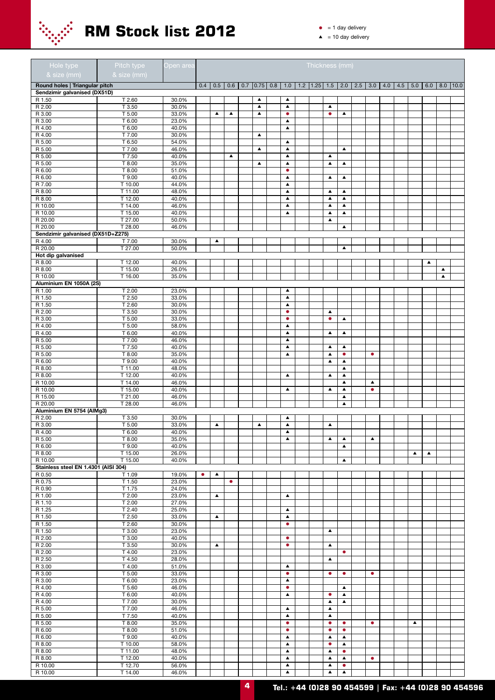

## **RM Stock list 2012** •  $\frac{1}{2}$  1 day delivery

| Hole type<br>& size (mm)                                       | Pitch type<br>& size (mm) | Open area      |           |                  |                  |                          |                  |                                      | Thickness (mm)     |                                      |                                      |     |                  |     |     |                  |                  |                  |                    |
|----------------------------------------------------------------|---------------------------|----------------|-----------|------------------|------------------|--------------------------|------------------|--------------------------------------|--------------------|--------------------------------------|--------------------------------------|-----|------------------|-----|-----|------------------|------------------|------------------|--------------------|
|                                                                |                           |                |           |                  |                  |                          |                  |                                      |                    |                                      |                                      |     |                  |     |     |                  |                  |                  |                    |
| Round holes   Triangular pitch<br>Sendzimir galvanised (DX51D) |                           |                | 0.4       | 0.5              |                  | $0.6$   0.7   0.75   0.8 |                  | 1.0                                  | $1.2$   1.25   1.5 |                                      | 2.0                                  | 2.5 | 3.0              | 4.0 | 4.5 | 5.0              |                  |                  | $6.0$   8.0   10.0 |
| R 1.50                                                         | T 2.60                    | 30.0%          |           |                  |                  |                          | $\blacktriangle$ | $\blacktriangle$                     |                    |                                      |                                      |     |                  |     |     |                  |                  |                  |                    |
| R 2.00                                                         | T 3.50                    | 30.0%          |           |                  |                  |                          | $\blacktriangle$ | $\blacktriangle$                     |                    | $\blacktriangle$                     |                                      |     |                  |     |     |                  |                  |                  |                    |
| R 3.00                                                         | T 5.00                    | 33.0%          |           | $\blacktriangle$ | $\blacktriangle$ |                          | $\blacktriangle$ | $\bullet$                            |                    | $\bullet$                            | $\blacktriangle$                     |     |                  |     |     |                  |                  |                  |                    |
| R 3.00                                                         | T 6.00                    | 23.0%          |           |                  |                  |                          |                  | $\blacktriangle$                     |                    |                                      |                                      |     |                  |     |     |                  |                  |                  |                    |
| R 4.00<br>R 4.00                                               | T 6.00<br>T 7.00          | 40.0%<br>30.0% |           |                  |                  |                          | $\blacktriangle$ | $\blacktriangle$                     |                    |                                      |                                      |     |                  |     |     |                  |                  |                  |                    |
| R 5.00                                                         | T 6.50                    | 54.0%          |           |                  |                  |                          |                  | $\blacktriangle$                     |                    |                                      |                                      |     |                  |     |     |                  |                  |                  |                    |
| R 5.00                                                         | $\overline{T}$ 7.00       | 46.0%          |           |                  |                  |                          | $\blacktriangle$ | $\blacktriangle$                     |                    |                                      | $\blacktriangle$                     |     |                  |     |     |                  |                  |                  |                    |
| R 5.00                                                         | T 7.50                    | 40.0%          |           |                  | $\blacktriangle$ |                          |                  | $\blacktriangle$                     |                    | $\blacktriangle$                     |                                      |     |                  |     |     |                  |                  |                  |                    |
| R 5.00                                                         | T 8.00                    | 35.0%          |           |                  |                  |                          | ▲                | $\blacktriangle$                     |                    | ▲                                    | $\blacktriangle$                     |     |                  |     |     |                  |                  |                  |                    |
| R 6.00<br>R 6.00                                               | T 8.00<br>T 9.00          | 51.0%<br>40.0% |           |                  |                  |                          |                  | $\bullet$<br>$\blacktriangle$        |                    | $\blacktriangle$                     | $\blacktriangle$                     |     |                  |     |     |                  |                  |                  |                    |
| R 7.00                                                         | T 10.00                   | 44.0%          |           |                  |                  |                          |                  | $\blacktriangle$                     |                    |                                      |                                      |     |                  |     |     |                  |                  |                  |                    |
| R 8.00                                                         | T 11.00                   | 48.0%          |           |                  |                  |                          |                  | $\blacktriangle$                     |                    | $\blacktriangle$                     | $\blacktriangle$                     |     |                  |     |     |                  |                  |                  |                    |
| R 8.00                                                         | T 12.00                   | 40.0%          |           |                  |                  |                          |                  | $\blacktriangle$                     |                    | $\blacktriangle$                     | $\blacktriangle$                     |     |                  |     |     |                  |                  |                  |                    |
| R 10.00                                                        | T 14.00                   | 46.0%          |           |                  |                  |                          |                  | $\blacktriangle$                     |                    | $\blacktriangle$                     | $\blacktriangle$                     |     |                  |     |     |                  |                  |                  |                    |
| R 10.00                                                        | T 15.00                   | 40.0%          |           |                  |                  |                          |                  | $\blacktriangle$                     |                    | $\blacktriangle$                     | $\blacktriangle$                     |     |                  |     |     |                  |                  |                  |                    |
| R 20.00                                                        | T 27.00                   | 50.0%          |           |                  |                  |                          |                  |                                      |                    | $\blacktriangle$                     |                                      |     |                  |     |     |                  |                  |                  |                    |
| R 20.00<br>Sendzimir galvanised (DX51D+Z275)                   | T 28.00                   | 46.0%          |           |                  |                  |                          |                  |                                      |                    |                                      | $\blacktriangle$                     |     |                  |     |     |                  |                  |                  |                    |
| R 4.00                                                         | T 7.00                    | 30.0%          |           | ▲                |                  |                          |                  |                                      |                    |                                      |                                      |     |                  |     |     |                  |                  |                  |                    |
| R 20.00                                                        | T 27.00                   | 50.0%          |           |                  |                  |                          |                  |                                      |                    |                                      | ▲                                    |     |                  |     |     |                  |                  |                  |                    |
| Hot dip galvanised                                             |                           |                |           |                  |                  |                          |                  |                                      |                    |                                      |                                      |     |                  |     |     |                  |                  |                  |                    |
| R 8.00                                                         | T 12.00                   | 40.0%          |           |                  |                  |                          |                  |                                      |                    |                                      |                                      |     |                  |     |     |                  | $\blacktriangle$ |                  |                    |
| R 8.00                                                         | T 15.00                   | 26.0%          |           |                  |                  |                          |                  |                                      |                    |                                      |                                      |     |                  |     |     |                  |                  | $\blacktriangle$ |                    |
| R 10.00<br>Aluminium EN 1050A (2S)                             | T 16.00                   | 35.0%          |           |                  |                  |                          |                  |                                      |                    |                                      |                                      |     |                  |     |     |                  |                  | $\blacktriangle$ |                    |
| R 1.00                                                         | T 2.00                    | 23.0%          |           |                  |                  |                          |                  | ▲                                    |                    |                                      |                                      |     |                  |     |     |                  |                  |                  |                    |
| R 1.50                                                         | T 2.50                    | 33.0%          |           |                  |                  |                          |                  | $\blacktriangle$                     |                    |                                      |                                      |     |                  |     |     |                  |                  |                  |                    |
| R 1.50                                                         | T 2.60                    | 30.0%          |           |                  |                  |                          |                  | $\blacktriangle$                     |                    |                                      |                                      |     |                  |     |     |                  |                  |                  |                    |
| R 2.00                                                         | T 3.50                    | 30.0%          |           |                  |                  |                          |                  | $\bullet$                            |                    | $\blacktriangle$                     |                                      |     |                  |     |     |                  |                  |                  |                    |
| R 3.00                                                         | T 5.00                    | 33.0%          |           |                  |                  |                          |                  | $\bullet$                            |                    | $\bullet$                            | $\blacktriangle$                     |     |                  |     |     |                  |                  |                  |                    |
| R 4.00                                                         | T 5.00                    | 58.0%          |           |                  |                  |                          |                  | $\blacktriangle$                     |                    |                                      |                                      |     |                  |     |     |                  |                  |                  |                    |
| R 4.00<br>R 5.00                                               | T 6.00<br>T 7.00          | 40.0%<br>46.0% |           |                  |                  |                          |                  | $\blacktriangle$<br>$\blacktriangle$ |                    | ▲                                    | ▲                                    |     |                  |     |     |                  |                  |                  |                    |
| R 5.00                                                         | T 7.50                    | 40.0%          |           |                  |                  |                          |                  | $\blacktriangle$                     |                    | $\blacktriangle$                     | $\blacktriangle$                     |     |                  |     |     |                  |                  |                  |                    |
| R 5.00                                                         | T 8.00                    | 35.0%          |           |                  |                  |                          |                  | $\blacktriangle$                     |                    | $\blacktriangle$                     | $\bullet$                            |     | $\bullet$        |     |     |                  |                  |                  |                    |
| R 6.00                                                         | T 9.00                    | 40.0%          |           |                  |                  |                          |                  |                                      |                    | $\blacktriangle$                     | $\blacktriangle$                     |     |                  |     |     |                  |                  |                  |                    |
| R 8.00                                                         | T 11.00                   | 48.0%          |           |                  |                  |                          |                  |                                      |                    |                                      | $\blacktriangle$                     |     |                  |     |     |                  |                  |                  |                    |
| R 8.00                                                         | T 12.00                   | 40.0%          |           |                  |                  |                          |                  | $\blacktriangle$                     |                    | $\blacktriangle$                     | $\blacktriangle$                     |     |                  |     |     |                  |                  |                  |                    |
| R 10.00                                                        | T 14.00                   | 46.0%          |           |                  |                  |                          |                  |                                      |                    |                                      | $\blacktriangle$                     |     | $\blacktriangle$ |     |     |                  |                  |                  |                    |
| R 10.00<br>R 15.00                                             | T 15.00<br>T 21.00        | 40.0%<br>46.0% |           |                  |                  |                          |                  | $\blacktriangle$                     |                    | $\blacktriangle$                     | $\blacktriangle$<br>$\blacktriangle$ |     | $\bullet$        |     |     |                  |                  |                  |                    |
| R 20.00                                                        | T 28.00                   | 46.0%          |           |                  |                  |                          |                  |                                      |                    |                                      | $\blacktriangle$                     |     |                  |     |     |                  |                  |                  |                    |
| Aluminium EN 5754 (AlMg3)                                      |                           |                |           |                  |                  |                          |                  |                                      |                    |                                      |                                      |     |                  |     |     |                  |                  |                  |                    |
| R 2.00                                                         | T 3.50                    | 30.0%          |           |                  |                  |                          |                  | $\blacktriangle$                     |                    |                                      |                                      |     |                  |     |     |                  |                  |                  |                    |
| R 3.00                                                         | T 5.00                    | 33.0%          |           | $\blacktriangle$ |                  |                          | $\blacktriangle$ | $\blacktriangle$                     |                    | $\blacktriangle$                     |                                      |     |                  |     |     |                  |                  |                  |                    |
| H 4.00                                                         | T6.00                     | 40.0%          |           |                  |                  |                          |                  | $\blacktriangle$                     |                    |                                      |                                      |     |                  |     |     |                  |                  |                  |                    |
| R 5.00<br>R 6.00                                               | T 8.00<br>T 9.00          | 35.0%<br>40.0% |           |                  |                  |                          |                  | $\blacktriangle$                     |                    | $\blacktriangle$                     | $\blacktriangle$<br>$\blacktriangle$ |     | $\blacktriangle$ |     |     |                  |                  |                  |                    |
| R 8.00                                                         | $T$ 15.00                 | 26.0%          |           |                  |                  |                          |                  |                                      |                    |                                      |                                      |     |                  |     |     | $\blacktriangle$ | $\blacktriangle$ |                  |                    |
| R 10.00                                                        | T 15.00                   | 40.0%          |           |                  |                  |                          |                  |                                      |                    |                                      | $\blacktriangle$                     |     |                  |     |     |                  |                  |                  |                    |
| Stainless steel EN 1.4301 (AISI 304)                           |                           |                |           |                  |                  |                          |                  |                                      |                    |                                      |                                      |     |                  |     |     |                  |                  |                  |                    |
| R 0.50                                                         | T 1.09                    | 19.0%          | $\bullet$ | $\blacktriangle$ |                  |                          |                  |                                      |                    |                                      |                                      |     |                  |     |     |                  |                  |                  |                    |
| R 0.75                                                         | $T$ 1.50                  | 23.0%          |           |                  | $\bullet$        |                          |                  |                                      |                    |                                      |                                      |     |                  |     |     |                  |                  |                  |                    |
| R 0.90<br>R 1.00                                               | T 1.75<br>T 2.00          | 24.0%<br>23.0% |           | $\blacktriangle$ |                  |                          |                  | $\blacktriangle$                     |                    |                                      |                                      |     |                  |     |     |                  |                  |                  |                    |
| R 1.10                                                         | T 2.00                    | 27.0%          |           |                  |                  |                          |                  |                                      |                    |                                      |                                      |     |                  |     |     |                  |                  |                  |                    |
| R 1.25                                                         | T2.40                     | 25.0%          |           |                  |                  |                          |                  | $\blacktriangle$                     |                    |                                      |                                      |     |                  |     |     |                  |                  |                  |                    |
| R 1.50                                                         | T 2.50                    | 33.0%          |           | $\blacktriangle$ |                  |                          |                  | $\blacktriangle$                     |                    |                                      |                                      |     |                  |     |     |                  |                  |                  |                    |
| R 1.50                                                         | T 2.60                    | 30.0%          |           |                  |                  |                          |                  | $\bullet$                            |                    |                                      |                                      |     |                  |     |     |                  |                  |                  |                    |
| R 1.50                                                         | T 3.00                    | 23.0%          |           |                  |                  |                          |                  |                                      |                    | $\blacktriangle$                     |                                      |     |                  |     |     |                  |                  |                  |                    |
| R 2.00<br>R 2.00                                               | T 3.00<br>T 3.50          | 40.0%<br>30.0% |           | $\blacktriangle$ |                  |                          |                  | $\bullet$<br>$\bullet$               |                    | $\blacktriangle$                     |                                      |     |                  |     |     |                  |                  |                  |                    |
| R 2.00                                                         | T4.00                     | 23.0%          |           |                  |                  |                          |                  |                                      |                    |                                      | $\bullet$                            |     |                  |     |     |                  |                  |                  |                    |
| R 2.50                                                         | T 4.50                    | 28.0%          |           |                  |                  |                          |                  |                                      |                    | $\blacktriangle$                     |                                      |     |                  |     |     |                  |                  |                  |                    |
| R 3.00                                                         | T4.00                     | 51.0%          |           |                  |                  |                          |                  | $\blacktriangle$                     |                    |                                      |                                      |     |                  |     |     |                  |                  |                  |                    |
| R 3.00                                                         | T 5.00                    | 33.0%          |           |                  |                  |                          |                  | $\bullet$                            |                    | $\bullet$                            | $\bullet$                            |     | $\bullet$        |     |     |                  |                  |                  |                    |
| R 3.00                                                         | T 6.00                    | 23.0%          |           |                  |                  |                          |                  | $\blacktriangle$                     |                    |                                      |                                      |     |                  |     |     |                  |                  |                  |                    |
| R 4.00                                                         | T 5.60                    | 46.0%          |           |                  |                  |                          |                  | $\bullet$                            |                    |                                      | $\blacktriangle$                     |     |                  |     |     |                  |                  |                  |                    |
| R 4.00<br>R 4.00                                               | T 6.00<br>T 7.00          | 40.0%<br>30.0% |           |                  |                  |                          |                  | $\blacktriangle$                     |                    | $\bullet$<br>$\blacktriangle$        | $\blacktriangle$<br>$\blacktriangle$ |     |                  |     |     |                  |                  |                  |                    |
| R 5.00                                                         | T 7.00                    | 46.0%          |           |                  |                  |                          |                  | $\blacktriangle$                     |                    | $\blacktriangle$                     |                                      |     |                  |     |     |                  |                  |                  |                    |
| R 5.00                                                         | T 7.50                    | 40.0%          |           |                  |                  |                          |                  | $\blacktriangle$                     |                    | $\blacktriangle$                     |                                      |     |                  |     |     |                  |                  |                  |                    |
| R 5.00                                                         | T 8.00                    | 35.0%          |           |                  |                  |                          |                  | $\bullet$                            |                    | $\bullet$                            | $\bullet$                            |     | $\bullet$        |     |     | $\blacktriangle$ |                  |                  |                    |
| R 6.00                                                         | T 8.00                    | 51.0%          |           |                  |                  |                          |                  | $\bullet$                            |                    | $\bullet$                            | $\bullet$                            |     |                  |     |     |                  |                  |                  |                    |
| R 6.00                                                         | T 9.00                    | 40.0%          |           |                  |                  |                          |                  | $\blacktriangle$                     |                    | ▲                                    | $\blacktriangle$                     |     |                  |     |     |                  |                  |                  |                    |
| R 8.00                                                         | T 10.00                   | 58.0%          |           |                  |                  |                          |                  | $\blacktriangle$                     |                    | $\bullet$                            | $\blacktriangle$                     |     |                  |     |     |                  |                  |                  |                    |
| R 8.00<br>R 8.00                                               | T 11.00<br>T 12.00        | 48.0%<br>40.0% |           |                  |                  |                          |                  | $\blacktriangle$<br>$\blacktriangle$ |                    | $\blacktriangle$<br>$\blacktriangle$ | $\bullet$<br>▲                       |     | $\bullet$        |     |     |                  |                  |                  |                    |
| R 10.00                                                        | T 12.70                   | 56.0%          |           |                  |                  |                          |                  | $\blacktriangle$                     |                    | $\blacktriangle$                     | $\bullet$                            |     |                  |     |     |                  |                  |                  |                    |
| R 10.00                                                        | T 14.00                   | 46.0%          |           |                  |                  |                          |                  | $\blacktriangle$                     |                    | $\blacktriangle$                     | $\blacktriangle$                     |     |                  |     |     |                  |                  |                  |                    |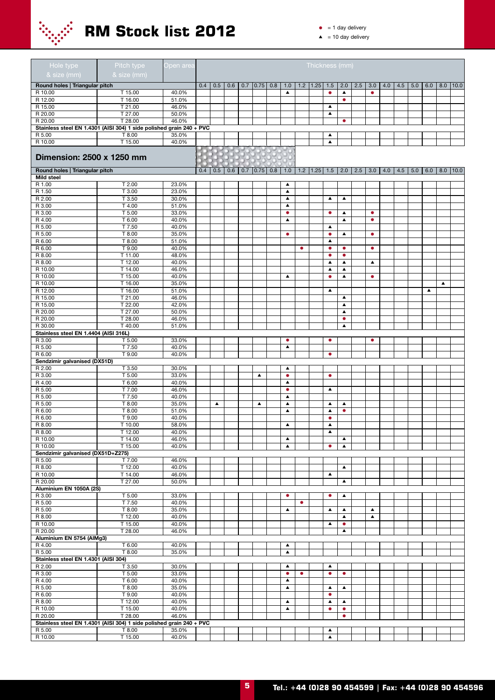

| Hole type<br>& size (mm)               | Pitch type<br>& size (mm)                                            | Open area      |     |                  |     |     |                  |                               |           | Thickness (mm)     |                  |                                      |     |                        |     |     |     |     |                  |              |
|----------------------------------------|----------------------------------------------------------------------|----------------|-----|------------------|-----|-----|------------------|-------------------------------|-----------|--------------------|------------------|--------------------------------------|-----|------------------------|-----|-----|-----|-----|------------------|--------------|
| Round holes   Triangular pitch         |                                                                      |                | 0.4 | 0.5              | 0.6 | 0.7 | $0.75$ 0.8       | 1.0                           | 1.2       | 1.25               | 1.5              | 2.0                                  | 2.5 | 3.0                    | 4.0 | 4.5 | 5.0 | 6.0 | 8.0              | 10.0         |
| R 10.00                                | T 15.00                                                              | 40.0%          |     |                  |     |     |                  | $\blacktriangle$              |           |                    | $\bullet$        | $\blacktriangle$                     |     | $\bullet$              |     |     |     |     |                  |              |
| R 12.00                                | T 16.00                                                              | 51.0%          |     |                  |     |     |                  |                               |           |                    |                  | ۰                                    |     |                        |     |     |     |     |                  |              |
| R 15.00                                | T 21.00                                                              | 46.0%          |     |                  |     |     |                  |                               |           |                    | $\blacktriangle$ |                                      |     |                        |     |     |     |     |                  |              |
| R 20.00<br>R 20.00                     | T 27.00<br>T 28.00                                                   | 50.0%<br>46.0% |     |                  |     |     |                  |                               |           |                    | $\blacktriangle$ | $\bullet$                            |     |                        |     |     |     |     |                  |              |
|                                        | Stainless steel EN 1.4301 (AISI 304) 1 side polished grain 240 + PVC |                |     |                  |     |     |                  |                               |           |                    |                  |                                      |     |                        |     |     |     |     |                  |              |
| R 5.00                                 | T 8.00                                                               | 35.0%          |     |                  |     |     |                  |                               |           |                    | $\blacktriangle$ |                                      |     |                        |     |     |     |     |                  |              |
| R 10.00                                | T 15.00                                                              | 40.0%          |     |                  |     |     |                  |                               |           |                    | $\blacktriangle$ |                                      |     |                        |     |     |     |     |                  |              |
| Dimension: 2500 x 1250 mm              |                                                                      |                |     |                  |     |     |                  |                               |           |                    |                  |                                      |     |                        |     |     |     |     |                  |              |
| Round holes   Triangular pitch         |                                                                      |                | 0.4 | 0.5              | 0.6 | 0.7 | $0.75$ 0.8       | 1.0                           |           | $1.2$   1.25   1.5 |                  | 2.0                                  | 2.5 | 3.0                    | 4.0 | 4.5 | 5.0 | 6.0 |                  | $8.0$   10.0 |
| <b>Mild steel</b>                      |                                                                      |                |     |                  |     |     |                  |                               |           |                    |                  |                                      |     |                        |     |     |     |     |                  |              |
| R 1.00                                 | T 2.00                                                               | 23.0%          |     |                  |     |     |                  | ▲                             |           |                    |                  |                                      |     |                        |     |     |     |     |                  |              |
| R 1.50                                 | T 3.00                                                               | 23.0%          |     |                  |     |     |                  | $\blacktriangle$              |           |                    |                  |                                      |     |                        |     |     |     |     |                  |              |
| R 2.00                                 | T 3.50                                                               | 30.0%          |     |                  |     |     |                  | $\blacktriangle$              |           |                    | $\blacktriangle$ | ▲                                    |     |                        |     |     |     |     |                  |              |
| R 3.00                                 | T 4.00                                                               | 51.0%          |     |                  |     |     |                  | ▲                             |           |                    |                  |                                      |     |                        |     |     |     |     |                  |              |
| R 3.00<br>R 4.00                       | T 5.00<br>T 6.00                                                     | 33.0%<br>40.0% |     |                  |     |     |                  | $\bullet$<br>$\blacktriangle$ |           |                    | $\bullet$        | ▲<br>$\blacktriangle$                |     | $\bullet$<br>$\bullet$ |     |     |     |     |                  |              |
| R 5.00                                 | T 7.50                                                               | 40.0%          |     |                  |     |     |                  |                               |           |                    | $\blacktriangle$ |                                      |     |                        |     |     |     |     |                  |              |
| R 5.00                                 | T 8.00                                                               | 35.0%          |     |                  |     |     |                  | $\bullet$                     |           |                    | $\bullet$        | ▲                                    |     | $\bullet$              |     |     |     |     |                  |              |
| R 6.00                                 | T 8.00                                                               | 51.0%          |     |                  |     |     |                  |                               |           |                    | $\blacktriangle$ |                                      |     |                        |     |     |     |     |                  |              |
| R 6.00                                 | T 9.00                                                               | 40.0%          |     |                  |     |     |                  |                               | $\bullet$ |                    | $\bullet$        | $\bullet$                            |     | $\bullet$              |     |     |     |     |                  |              |
| R 8.00                                 | T 11.00                                                              | 48.0%          |     |                  |     |     |                  |                               |           |                    | $\bullet$        | $\bullet$                            |     |                        |     |     |     |     |                  |              |
| R 8.00                                 | T 12.00                                                              | 40.0%          |     |                  |     |     |                  |                               |           |                    | $\blacktriangle$ | $\blacktriangle$                     |     | $\blacktriangle$       |     |     |     |     |                  |              |
| R 10.00                                | T 14.00                                                              | 46.0%          |     |                  |     |     |                  |                               |           |                    | $\blacktriangle$ | $\blacktriangle$                     |     |                        |     |     |     |     |                  |              |
| R 10.00                                | T 15.00                                                              | 40.0%          |     |                  |     |     |                  | $\blacktriangle$              |           |                    | $\bullet$        | $\blacktriangle$                     |     | $\bullet$              |     |     |     |     |                  |              |
| R 10.00                                | T 16.00                                                              | 35.0%          |     |                  |     |     |                  |                               |           |                    |                  |                                      |     |                        |     |     |     |     | $\blacktriangle$ |              |
| R 12.00<br>R 15.00                     | T 16.00<br>T 21.00                                                   | 51.0%<br>46.0% |     |                  |     |     |                  |                               |           |                    | ▲                |                                      |     |                        |     |     |     | ▲   |                  |              |
| R 15.00                                | T 22.00                                                              | 42.0%          |     |                  |     |     |                  |                               |           |                    |                  | $\blacktriangle$<br>$\blacktriangle$ |     |                        |     |     |     |     |                  |              |
| R 20.00                                | T 27.00                                                              | 50.0%          |     |                  |     |     |                  |                               |           |                    |                  | ▲                                    |     |                        |     |     |     |     |                  |              |
| R 20.00                                | T 28.00                                                              | 46.0%          |     |                  |     |     |                  |                               |           |                    |                  | $\bullet$                            |     |                        |     |     |     |     |                  |              |
| R 30.00                                | T 40.00                                                              | 51.0%          |     |                  |     |     |                  |                               |           |                    |                  | ▲                                    |     |                        |     |     |     |     |                  |              |
| Stainless steel EN 1.4404 (AISI 316L)  |                                                                      |                |     |                  |     |     |                  |                               |           |                    |                  |                                      |     |                        |     |     |     |     |                  |              |
| R 3.00                                 | T 5.00                                                               | 33.0%          |     |                  |     |     |                  | $\bullet$                     |           |                    | $\bullet$        |                                      |     | $\bullet$              |     |     |     |     |                  |              |
| R 5.00                                 | T 7.50                                                               | 40.0%          |     |                  |     |     |                  | $\blacktriangle$              |           |                    |                  |                                      |     |                        |     |     |     |     |                  |              |
| R 6.00                                 | T 9.00                                                               | 40.0%          |     |                  |     |     |                  |                               |           |                    | $\bullet$        |                                      |     |                        |     |     |     |     |                  |              |
| Sendzimir galvanised (DX51D)<br>R 2.00 | T 3.50                                                               | 30.0%          |     |                  |     |     |                  | $\blacktriangle$              |           |                    |                  |                                      |     |                        |     |     |     |     |                  |              |
| R 3.00                                 | T 5.00                                                               | 33.0%          |     |                  |     |     | ▲                | ۰                             |           |                    | $\bullet$        |                                      |     |                        |     |     |     |     |                  |              |
| R 4.00                                 | T 6.00                                                               | 40.0%          |     |                  |     |     |                  | $\blacktriangle$              |           |                    |                  |                                      |     |                        |     |     |     |     |                  |              |
| R 5.00                                 | T 7.00                                                               | 46.0%          |     |                  |     |     |                  | ۰                             |           |                    | $\blacktriangle$ |                                      |     |                        |     |     |     |     |                  |              |
| R 5.00                                 | T 7.50                                                               | 40.0%          |     |                  |     |     |                  | $\blacktriangle$              |           |                    |                  |                                      |     |                        |     |     |     |     |                  |              |
| R 5.00                                 | T 8.00                                                               | 35.0%          |     | $\blacktriangle$ |     |     | $\blacktriangle$ | ▲                             |           |                    | $\blacktriangle$ | ▲                                    |     |                        |     |     |     |     |                  |              |
| R 6.00                                 | T 8.00                                                               | 51.0%          |     |                  |     |     |                  | ▲                             |           |                    | $\blacktriangle$ | ۰                                    |     |                        |     |     |     |     |                  |              |
| R 6.00                                 | T 9.00                                                               | 40.0%          |     |                  |     |     |                  |                               |           |                    | $\bullet$        |                                      |     |                        |     |     |     |     |                  |              |
| R 8.00                                 | T 10.00                                                              | 58.0%          |     |                  |     |     |                  | ▲                             |           |                    | $\blacktriangle$ |                                      |     |                        |     |     |     |     |                  |              |
| R 8.00                                 | T 12.00                                                              | 40.0%          |     |                  |     |     |                  |                               |           |                    | $\blacktriangle$ |                                      |     |                        |     |     |     |     |                  |              |
| R 10.00<br>R 10.00                     | T 14.00<br>T 15.00                                                   | 46.0%<br>40.0% |     |                  |     |     |                  | ▲<br>$\blacktriangle$         |           |                    | $\bullet$        | $\blacktriangle$<br>$\blacktriangle$ |     |                        |     |     |     |     |                  |              |
| Sendzimir galvanised (DX51D+Z275)      |                                                                      |                |     |                  |     |     |                  |                               |           |                    |                  |                                      |     |                        |     |     |     |     |                  |              |
| R 5.00                                 | T 7.00                                                               | 46.0%          |     |                  |     |     |                  |                               |           |                    |                  |                                      |     |                        |     |     |     |     |                  |              |
| R 8.00                                 | T 12.00                                                              | 40.0%          |     |                  |     |     |                  |                               |           |                    |                  | $\blacktriangle$                     |     |                        |     |     |     |     |                  |              |
| R 10.00                                | T 14.00                                                              | 46.0%          |     |                  |     |     |                  |                               |           |                    | $\blacktriangle$ |                                      |     |                        |     |     |     |     |                  |              |
| R 20.00                                | T 27.00                                                              | 50.0%          |     |                  |     |     |                  |                               |           |                    |                  | $\blacktriangle$                     |     |                        |     |     |     |     |                  |              |
| Aluminium EN 1050A (2S)                |                                                                      |                |     |                  |     |     |                  |                               |           |                    |                  |                                      |     |                        |     |     |     |     |                  |              |
| R 3.00                                 | T 5.00                                                               | 33.0%          |     |                  |     |     |                  | $\bullet$                     |           |                    | $\bullet$        | ▲                                    |     |                        |     |     |     |     |                  |              |
| R 5.00<br>R 5.00                       | T 7.50<br>T 8.00                                                     | 40.0%<br>35.0% |     |                  |     |     |                  | $\blacktriangle$              | $\bullet$ |                    | $\blacktriangle$ |                                      |     | $\blacktriangle$       |     |     |     |     |                  |              |
| R 8.00                                 | T 12.00                                                              | 40.0%          |     |                  |     |     |                  |                               |           |                    |                  | $\blacktriangle$<br>$\blacktriangle$ |     | $\blacktriangle$       |     |     |     |     |                  |              |
| R 10.00                                | $T$ 15.00                                                            | 40.0%          |     |                  |     |     |                  |                               |           |                    | $\blacktriangle$ | $\bullet$                            |     |                        |     |     |     |     |                  |              |
| R 20.00                                | T 28.00                                                              | 46.0%          |     |                  |     |     |                  |                               |           |                    |                  | $\blacktriangle$                     |     |                        |     |     |     |     |                  |              |
| Aluminium EN 5754 (AlMg3)              |                                                                      |                |     |                  |     |     |                  |                               |           |                    |                  |                                      |     |                        |     |     |     |     |                  |              |
| R 4.00                                 | T 6.00                                                               | 40.0%          |     |                  |     |     |                  | ▲                             |           |                    |                  |                                      |     |                        |     |     |     |     |                  |              |
| R 5.00                                 | T 8.00                                                               | 35.0%          |     |                  |     |     |                  | $\blacktriangle$              |           |                    |                  |                                      |     |                        |     |     |     |     |                  |              |
| Stainless steel EN 1.4301 (AISI 304)   |                                                                      |                |     |                  |     |     |                  |                               |           |                    |                  |                                      |     |                        |     |     |     |     |                  |              |
| R 2.00                                 | T 3.50                                                               | 30.0%          |     |                  |     |     |                  | ▲                             |           |                    | $\blacktriangle$ |                                      |     |                        |     |     |     |     |                  |              |
| R 3.00                                 | T 5.00                                                               | 33.0%          |     |                  |     |     |                  | $\bullet$<br>$\blacktriangle$ | $\bullet$ |                    | $\bullet$        | $\bullet$                            |     |                        |     |     |     |     |                  |              |
| R 4.00<br>R 5.00                       | T 6.00<br>T 8.00                                                     | 40.0%<br>35.0% |     |                  |     |     |                  | $\blacktriangle$              |           |                    | $\blacktriangle$ | $\blacktriangle$                     |     |                        |     |     |     |     |                  |              |
| R 6.00                                 | T 9.00                                                               | 40.0%          |     |                  |     |     |                  |                               |           |                    | $\bullet$        |                                      |     |                        |     |     |     |     |                  |              |
| R 8.00                                 | T 12.00                                                              | 40.0%          |     |                  |     |     |                  | $\blacktriangle$              |           |                    | $\blacktriangle$ | $\blacktriangle$                     |     |                        |     |     |     |     |                  |              |
| R 10.00                                | T 15.00                                                              | 40.0%          |     |                  |     |     |                  | $\blacktriangle$              |           |                    | $\bullet$        | $\bullet$                            |     |                        |     |     |     |     |                  |              |
| R 20.00                                | T 28.00                                                              | 46.0%          |     |                  |     |     |                  |                               |           |                    |                  | $\bullet$                            |     |                        |     |     |     |     |                  |              |
|                                        | Stainless steel EN 1.4301 (AISI 304) 1 side polished grain 240 + PVC |                |     |                  |     |     |                  |                               |           |                    |                  |                                      |     |                        |     |     |     |     |                  |              |
| R 5.00                                 | T 8.00                                                               | 35.0%          |     |                  |     |     |                  |                               |           |                    | $\blacktriangle$ |                                      |     |                        |     |     |     |     |                  |              |
| R 10.00                                | T 15.00                                                              | 40.0%          |     |                  |     |     |                  |                               |           |                    | $\blacktriangle$ |                                      |     |                        |     |     |     |     |                  |              |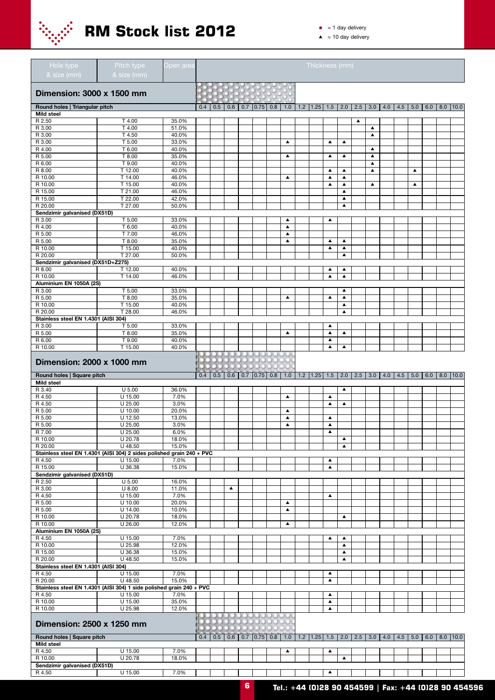

- $\bullet$  = 1 day delivery
- $\triangle$  = 10 day delivery

| Hole type<br>& size (mm)                                              | Pitch type<br>& size (mm) | Open area      |     |     |     |     |                                           |     |                       | Thickness (mm)           |                       |                                      |     |                  |             |     |     |     |                    |      |
|-----------------------------------------------------------------------|---------------------------|----------------|-----|-----|-----|-----|-------------------------------------------|-----|-----------------------|--------------------------|-----------------------|--------------------------------------|-----|------------------|-------------|-----|-----|-----|--------------------|------|
| Dimension: 3000 x 1500 mm                                             |                           |                |     |     |     |     |                                           |     |                       |                          |                       |                                      |     |                  |             |     |     |     |                    |      |
| Round holes   Triangular pitch                                        |                           |                | 0.4 | 0.5 | 0.6 | 0.7 | 0.75                                      | 0.8 | 1.0                   | $1.2$   1.25   1.5   2.0 |                       |                                      | 2.5 |                  | $3.0$   4.0 | 4.5 | 5.0 |     | $6.0$   8.0   10.0 |      |
| <b>Mild steel</b>                                                     |                           |                |     |     |     |     |                                           |     |                       |                          |                       |                                      |     |                  |             |     |     |     |                    |      |
| R 2.50<br>R 3.00                                                      | T 4.00<br>T 4.00          | 35.0%<br>51.0% |     |     |     |     |                                           |     |                       |                          |                       |                                      | ▲   | $\blacktriangle$ |             |     |     |     |                    |      |
| R 3.00                                                                | T 4.50                    | 40.0%          |     |     |     |     |                                           |     |                       |                          |                       |                                      |     | $\blacktriangle$ |             |     |     |     |                    |      |
| R 3.00                                                                | T 5.00                    | 33.0%          |     |     |     |     |                                           |     | ▲                     |                          | ▲                     | ▲                                    |     |                  |             |     |     |     |                    |      |
| R 4.00                                                                | T 6.00                    | 40.0%          |     |     |     |     |                                           |     |                       |                          |                       |                                      |     | $\blacktriangle$ |             |     |     |     |                    |      |
| R 5.00                                                                | T 8.00                    | 35.0%          |     |     |     |     |                                           |     | $\blacktriangle$      |                          | $\blacktriangle$      | $\blacktriangle$                     |     | $\blacktriangle$ |             |     |     |     |                    |      |
| R 6.00                                                                | T 9.00                    | 40.0%          |     |     |     |     |                                           |     |                       |                          |                       |                                      |     | ▲                |             |     |     |     |                    |      |
| R 8.00                                                                | T 12.00                   | 40.0%          |     |     |     |     |                                           |     |                       |                          | $\blacktriangle$      | $\blacktriangle$                     |     | $\blacktriangle$ |             |     | ▲   |     |                    |      |
| R 10.00<br>R 10.00                                                    | T 14.00<br>T 15.00        | 46.0%<br>40.0% |     |     |     |     |                                           |     | $\blacktriangle$      |                          | ▲<br>▲                | $\blacktriangle$<br>▲                |     | ▲                |             |     | ▲   |     |                    |      |
| R 15.00                                                               | T 21.00                   | 46.0%          |     |     |     |     |                                           |     |                       |                          |                       | $\blacktriangle$                     |     |                  |             |     |     |     |                    |      |
| R 15.00                                                               | T 22.00                   | 42.0%          |     |     |     |     |                                           |     |                       |                          |                       | $\blacktriangle$                     |     |                  |             |     |     |     |                    |      |
| R 20.00                                                               | T 27.00                   | 50.0%          |     |     |     |     |                                           |     |                       |                          |                       | $\blacktriangle$                     |     |                  |             |     |     |     |                    |      |
| Sendzimir galvanised (DX51D)                                          |                           |                |     |     |     |     |                                           |     |                       |                          |                       |                                      |     |                  |             |     |     |     |                    |      |
| R 3.00                                                                | T 5.00                    | 33.0%          |     |     |     |     |                                           |     | ▲                     |                          | ▲                     |                                      |     |                  |             |     |     |     |                    |      |
| R 4.00                                                                | T 6.00                    | 40.0%          |     |     |     |     |                                           |     | ▲                     |                          |                       |                                      |     |                  |             |     |     |     |                    |      |
| R 5.00                                                                | T 7.00<br>T 8.00          | 46.0%          |     |     |     |     |                                           |     | ▲<br>$\blacktriangle$ |                          | $\blacktriangle$      | $\blacktriangle$                     |     |                  |             |     |     |     |                    |      |
| R 5.00<br>R 10.00                                                     | T 15.00                   | 35.0%<br>40.0% |     |     |     |     |                                           |     |                       |                          | $\blacktriangle$      | $\blacktriangle$                     |     |                  |             |     |     |     |                    |      |
| R 20.00                                                               | T 27.00                   | 50.0%          |     |     |     |     |                                           |     |                       |                          |                       | $\blacktriangle$                     |     |                  |             |     |     |     |                    |      |
| Sendzimir galvanised (DX51D+Z275)                                     |                           |                |     |     |     |     |                                           |     |                       |                          |                       |                                      |     |                  |             |     |     |     |                    |      |
| R 8.00                                                                | T 12.00                   | 40.0%          |     |     |     |     |                                           |     |                       |                          | ▲                     | ▲                                    |     |                  |             |     |     |     |                    |      |
| R 10.00                                                               | T 14.00                   | 46.0%          |     |     |     |     |                                           |     |                       |                          | $\blacktriangle$      | $\blacktriangle$                     |     |                  |             |     |     |     |                    |      |
| Aluminium EN 1050A (2S)                                               |                           |                |     |     |     |     |                                           |     |                       |                          |                       |                                      |     |                  |             |     |     |     |                    |      |
| R 3.00                                                                | T 5.00                    | 33.0%          |     |     |     |     |                                           |     |                       |                          |                       | ▲                                    |     |                  |             |     |     |     |                    |      |
| R 5.00<br>R 10.00                                                     | T 8.00<br>T 15.00         | 35.0%<br>40.0% |     |     |     |     |                                           |     | ▲                     |                          | $\blacktriangle$      | $\blacktriangle$<br>$\blacktriangle$ |     |                  |             |     |     |     |                    |      |
| R 20.00                                                               | T 28.00                   | 46.0%          |     |     |     |     |                                           |     |                       |                          |                       | $\blacktriangle$                     |     |                  |             |     |     |     |                    |      |
| Stainless steel EN 1.4301 (AISI 304)                                  |                           |                |     |     |     |     |                                           |     |                       |                          |                       |                                      |     |                  |             |     |     |     |                    |      |
| R 3.00                                                                | T 5.00                    | 33.0%          |     |     |     |     |                                           |     |                       |                          | ▲                     |                                      |     |                  |             |     |     |     |                    |      |
| R 5.00                                                                | T 8.00                    | 35.0%          |     |     |     |     |                                           |     | $\blacktriangle$      |                          | $\blacktriangle$      | $\blacktriangle$                     |     |                  |             |     |     |     |                    |      |
| R 6.00                                                                | T 9.00                    | 40.0%          |     |     |     |     |                                           |     |                       |                          | $\blacktriangle$      |                                      |     |                  |             |     |     |     |                    |      |
| R 10.00                                                               | T 15.00                   | 40.0%          |     |     |     |     |                                           |     |                       |                          | ▲                     | $\blacktriangle$                     |     |                  |             |     |     |     |                    |      |
| Dimension: 2000 x 1000 mm                                             |                           |                |     |     |     |     | <b>CERTIFICATE</b><br><b>CERTA CONTRA</b> |     | л                     |                          |                       |                                      |     |                  |             |     |     |     |                    |      |
| Round holes   Square pitch                                            |                           |                | 0.4 | 0.5 | 0.6 | 0.7 | 0.75 0.8                                  |     | 1.0                   | $1.2$   1.25             | 1.5                   | 2.0                                  | 2.5 | 3.0              | 4.0         | 4.5 | 5.0 | 6.0 | 8.0                | 10.0 |
| <b>Mild steel</b>                                                     |                           |                |     |     |     |     |                                           |     |                       |                          |                       |                                      |     |                  |             |     |     |     |                    |      |
| R 3.40<br>R 4.50                                                      | $U$ 5.00                  | 36.0%          |     |     |     |     |                                           |     | $\blacktriangle$      |                          | $\blacktriangle$      | $\blacktriangle$                     |     |                  |             |     |     |     |                    |      |
| R 4.50                                                                | $U$ 15.00<br>U 25.00      | 7.0%<br>3.0%   |     |     |     |     |                                           |     |                       |                          | ▲                     | $\blacktriangle$                     |     |                  |             |     |     |     |                    |      |
| R 5.00                                                                | U 10.00                   | 20.0%          |     |     |     |     |                                           |     | ▲                     |                          |                       |                                      |     |                  |             |     |     |     |                    |      |
| R 5.00                                                                | $U$ 12.50                 | 13.0%          |     |     |     |     |                                           |     | $\blacktriangle$      |                          | ▲                     |                                      |     |                  |             |     |     |     |                    |      |
| R 5.00                                                                | U 25.00                   | 3.0%           |     |     |     |     |                                           |     | $\blacktriangle$      |                          | $\blacktriangle$      |                                      |     |                  |             |     |     |     |                    |      |
| R 7.00                                                                | $U$ 25.00                 | 6.0%           |     |     |     |     |                                           |     |                       |                          | $\blacktriangle$      |                                      |     |                  |             |     |     |     |                    |      |
| R 10.00                                                               | U 20.78                   | 18.0%          |     |     |     |     |                                           |     |                       |                          |                       | $\blacktriangle$                     |     |                  |             |     |     |     |                    |      |
| R 20.00                                                               | U 48.50                   | 15.0%          |     |     |     |     |                                           |     |                       |                          |                       | $\blacktriangle$                     |     |                  |             |     |     |     |                    |      |
| Stainless steel EN 1.4301 (AISI 304) 2 sides polished grain 240 + PVC |                           |                |     |     |     |     |                                           |     |                       |                          |                       |                                      |     |                  |             |     |     |     |                    |      |
| R 4.50<br>R 15.00                                                     | U 15.00<br>U 36.38        | 7.0%<br>15.0%  |     |     |     |     |                                           |     |                       |                          | ▲<br>▲                |                                      |     |                  |             |     |     |     |                    |      |
| Sendzimir galvanised (DX51D)                                          |                           |                |     |     |     |     |                                           |     |                       |                          |                       |                                      |     |                  |             |     |     |     |                    |      |
| R 2.50                                                                | $U$ 5.00                  | 16.0%          |     |     |     |     |                                           |     |                       |                          |                       |                                      |     |                  |             |     |     |     |                    |      |
| R 3.00                                                                | $U$ 8.00                  | 11.0%          |     |     | ▲   |     |                                           |     |                       |                          |                       |                                      |     |                  |             |     |     |     |                    |      |
| R 4.50                                                                | U 15.00                   | 7.0%           |     |     |     |     |                                           |     |                       |                          | $\blacktriangle$      |                                      |     |                  |             |     |     |     |                    |      |
| R 5.00                                                                | U 10.00                   | 20.0%          |     |     |     |     |                                           |     | $\blacktriangle$      |                          |                       |                                      |     |                  |             |     |     |     |                    |      |
| R 5.00<br>R 10.00                                                     | U 14.00<br>U 20.78        | 10.0%<br>18.0% |     |     |     |     |                                           |     | $\blacktriangle$      |                          |                       | $\blacktriangle$                     |     |                  |             |     |     |     |                    |      |
| R 10.00                                                               | U 26.00                   | 12.0%          |     |     |     |     |                                           |     | ▲                     |                          |                       |                                      |     |                  |             |     |     |     |                    |      |
| Aluminium EN 1050A (2S)                                               |                           |                |     |     |     |     |                                           |     |                       |                          |                       |                                      |     |                  |             |     |     |     |                    |      |
| R 4.50                                                                | U 15.00                   | 7.0%           |     |     |     |     |                                           |     |                       |                          | ▲                     | $\blacktriangle$                     |     |                  |             |     |     |     |                    |      |
| R 10.00                                                               | $U$ 25.98                 | 12.0%          |     |     |     |     |                                           |     |                       |                          |                       | $\blacktriangle$                     |     |                  |             |     |     |     |                    |      |
| R 15.00                                                               | U 36.38                   | 15.0%          |     |     |     |     |                                           |     |                       |                          |                       | $\blacktriangle$                     |     |                  |             |     |     |     |                    |      |
| R 20.00                                                               | U 48.50                   | 15.0%          |     |     |     |     |                                           |     |                       |                          |                       | $\blacktriangle$                     |     |                  |             |     |     |     |                    |      |
| Stainless steel EN 1.4301 (AISI 304)                                  |                           |                |     |     |     |     |                                           |     |                       |                          |                       |                                      |     |                  |             |     |     |     |                    |      |
| R 4.50<br>R 20.00                                                     | U 15.00<br>U 48.50        | 7.0%<br>15.0%  |     |     |     |     |                                           |     |                       |                          | ▲<br>$\blacktriangle$ |                                      |     |                  |             |     |     |     |                    |      |
| Stainless steel EN 1.4301 (AISI 304) 1 side polished grain 240 + PVC  |                           |                |     |     |     |     |                                           |     |                       |                          |                       |                                      |     |                  |             |     |     |     |                    |      |
| R 4.50                                                                | U 15.00                   | 7.0%           |     |     |     |     |                                           |     |                       |                          | ▲                     |                                      |     |                  |             |     |     |     |                    |      |
| R 10.00                                                               | U 15.00                   | 35.0%          |     |     |     |     |                                           |     |                       |                          | $\blacktriangle$      |                                      |     |                  |             |     |     |     |                    |      |
| R 10.00                                                               | U 25.98                   | 12.0%          |     |     |     |     |                                           |     |                       |                          | $\blacktriangle$      |                                      |     |                  |             |     |     |     |                    |      |
|                                                                       |                           |                |     |     |     |     | 83333333333                               |     |                       |                          |                       |                                      |     |                  |             |     |     |     |                    |      |
|                                                                       | Dimension: 2500 x 1250 mm |                |     |     |     |     |                                           |     |                       |                          |                       |                                      |     |                  |             |     |     |     |                    |      |
|                                                                       |                           |                |     |     |     |     |                                           |     |                       |                          |                       |                                      |     |                  |             |     |     |     |                    |      |
| Round holes   Square pitch<br>Mild steel                              |                           |                | 0.4 | 0.5 | 0.6 | 0.7 | 0.75                                      | 0.8 | 1.0                   | $1.2$   1.25   1.5       |                       | 2.0                                  | 2.5 | 3.0              | 4.0         | 4.5 | 5.0 | 6.0 | $8.0$   10.0       |      |
| R 4.50                                                                | U 15.00                   | 7.0%           |     |     |     |     |                                           |     | ▲                     |                          | $\blacktriangle$      |                                      |     |                  |             |     |     |     |                    |      |
| R 10.00                                                               | U 20.78                   | 18.0%          |     |     |     |     |                                           |     |                       |                          |                       | ▲                                    |     |                  |             |     |     |     |                    |      |
| Sendzimir galvanised (DX51D)<br>R 4.50                                | U 15.00                   | 7.0%           |     |     |     |     |                                           |     |                       |                          |                       |                                      |     |                  |             |     |     |     |                    |      |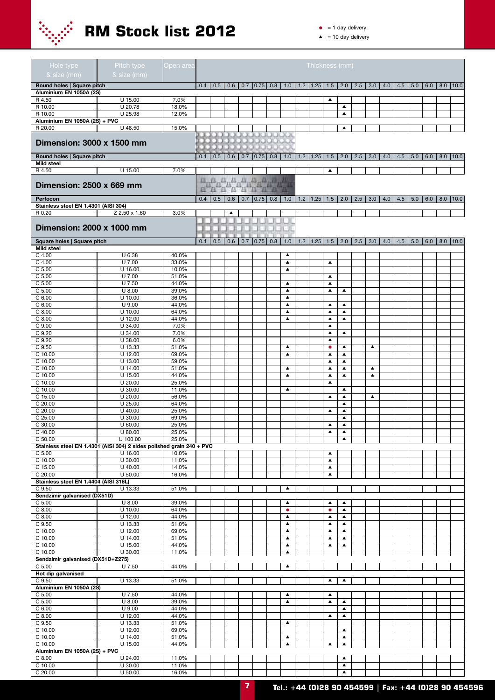

 $\bullet$  = 1 day delivery

| Hole type                                                             | Pitch type             | <u> Open</u> area |     |     |                  |     |                                                                                                                                                                  |                                      | Thickness (mm)                             |                                      |                                      |     |                       |     |     |           |     |             |                    |
|-----------------------------------------------------------------------|------------------------|-------------------|-----|-----|------------------|-----|------------------------------------------------------------------------------------------------------------------------------------------------------------------|--------------------------------------|--------------------------------------------|--------------------------------------|--------------------------------------|-----|-----------------------|-----|-----|-----------|-----|-------------|--------------------|
| & size (mm)                                                           | & size (mm)            |                   |     |     |                  |     |                                                                                                                                                                  |                                      |                                            |                                      |                                      |     |                       |     |     |           |     |             |                    |
| Round holes   Square pitch                                            |                        |                   | 0.4 | 0.5 |                  |     | $0.6$   0.7   0.75   0.8                                                                                                                                         |                                      | $1.0$   1.2   1.25   1.5   2.0   2.5   3.0 |                                      |                                      |     |                       | 4.0 |     | $4.5$ 5.0 |     |             | $6.0$   8.0   10.0 |
| Aluminium EN 1050A (2S)<br>R 4.50                                     | U 15.00                | 7.0%              |     |     |                  |     |                                                                                                                                                                  |                                      |                                            | ▲                                    |                                      |     |                       |     |     |           |     |             |                    |
| R 10.00                                                               | U 20.78                | 18.0%             |     |     |                  |     |                                                                                                                                                                  |                                      |                                            |                                      | $\blacktriangle$                     |     |                       |     |     |           |     |             |                    |
| R 10.00                                                               | U 25.98                | 12.0%             |     |     |                  |     |                                                                                                                                                                  |                                      |                                            |                                      | $\blacktriangle$                     |     |                       |     |     |           |     |             |                    |
| Aluminium EN 1050A (2S) + PVC                                         |                        |                   |     |     |                  |     |                                                                                                                                                                  |                                      |                                            |                                      |                                      |     |                       |     |     |           |     |             |                    |
| R 20.00                                                               | U 48.50                | 15.0%             |     |     |                  |     |                                                                                                                                                                  |                                      |                                            |                                      | ▲                                    |     |                       |     |     |           |     |             |                    |
| <b>Dimension: 3000 x 1500 mm</b>                                      |                        |                   |     |     |                  |     | <b>RACKHOOK</b>                                                                                                                                                  |                                      |                                            |                                      |                                      |     |                       |     |     |           |     |             |                    |
|                                                                       |                        |                   |     |     |                  |     |                                                                                                                                                                  |                                      |                                            |                                      |                                      |     |                       |     |     |           |     |             |                    |
| Round holes   Square pitch<br>Mild steel                              |                        |                   | 0.4 | 0.5 | 0.6              |     | $0.7$ 0.75 0.8                                                                                                                                                   | 1.0                                  | $1.2$   1.25                               | 1.5                                  | 2.0                                  | 2.5 | 3.0                   | 4.0 | 4.5 | 5.0       |     | $6.0$   8.0 | 10.0               |
| R 4.50                                                                | U 15.00                | 7.0%              |     |     |                  |     |                                                                                                                                                                  |                                      |                                            | $\blacktriangle$                     |                                      |     |                       |     |     |           |     |             |                    |
|                                                                       |                        |                   |     |     |                  |     |                                                                                                                                                                  |                                      |                                            |                                      |                                      |     |                       |     |     |           |     |             |                    |
| Dimension: 2500 x 669 mm                                              |                        |                   |     |     |                  |     | $\tilde{a}_{\alpha}^{\alpha}a_{\alpha}^{\alpha}a_{\beta}^{\alpha}a_{\alpha}^{\alpha}a_{\alpha}^{\alpha}a_{\alpha}^{\alpha}a_{\alpha}^{\alpha}a_{\beta}^{\alpha}$ |                                      |                                            |                                      |                                      |     |                       |     |     |           |     |             |                    |
| Perfocon                                                              |                        |                   | 0.4 | 0.5 | 0.6              | 0.7 | 0.75 0.8                                                                                                                                                         | 1.0                                  | $1.2$   1.25   1.5                         |                                      | 2.0                                  | 2.5 | 3.0                   | 4.0 | 4.5 | 5.0       | 6.0 | 8.0         | 10.0               |
| Stainless steel EN 1.4301 (AISI 304)                                  |                        |                   |     |     |                  |     |                                                                                                                                                                  |                                      |                                            |                                      |                                      |     |                       |     |     |           |     |             |                    |
| R 0.20                                                                | Z 2.50 x 1.60          | 3.0%              |     |     | $\blacktriangle$ |     |                                                                                                                                                                  |                                      |                                            |                                      |                                      |     |                       |     |     |           |     |             |                    |
|                                                                       |                        |                   |     |     |                  |     |                                                                                                                                                                  |                                      |                                            |                                      |                                      |     |                       |     |     |           |     |             |                    |
| <b>Dimension: 2000 x 1000 mm</b>                                      |                        |                   |     |     |                  |     |                                                                                                                                                                  |                                      |                                            |                                      |                                      |     |                       |     |     |           |     |             |                    |
| Square holes   Square pitch                                           |                        |                   | 0.4 | 0.5 | 0.6              | 0.7 | $0.75$ 0.8                                                                                                                                                       | 1.0                                  | $1.2$   1.25   1.5                         |                                      | 2.0                                  | 2.5 | 3.0                   | 4.0 | 4.5 | 5.0       | 6.0 |             | $8.0$   10.0       |
| <b>Mild steel</b>                                                     |                        |                   |     |     |                  |     |                                                                                                                                                                  |                                      |                                            |                                      |                                      |     |                       |     |     |           |     |             |                    |
| $C$ 4.00                                                              | U 6.38                 | 40.0%             |     |     |                  |     |                                                                                                                                                                  | $\blacktriangle$                     |                                            |                                      |                                      |     |                       |     |     |           |     |             |                    |
| $C$ 4.00<br>C <sub>5.00</sub>                                         | $U$ 7.00<br>U 16.00    | 33.0%<br>10.0%    |     |     |                  |     |                                                                                                                                                                  | $\blacktriangle$<br>▲                |                                            | $\blacktriangle$                     |                                      |     |                       |     |     |           |     |             |                    |
| C <sub>5.00</sub>                                                     | $U$ 7.00               | 51.0%             |     |     |                  |     |                                                                                                                                                                  |                                      |                                            | ▲                                    |                                      |     |                       |     |     |           |     |             |                    |
| C <sub>5.00</sub>                                                     | $U$ 7.50               | 44.0%             |     |     |                  |     |                                                                                                                                                                  | $\blacktriangle$                     |                                            | ▲                                    |                                      |     |                       |     |     |           |     |             |                    |
| C <sub>5.00</sub>                                                     | $U$ 8.00               | 39.0%             |     |     |                  |     |                                                                                                                                                                  | ▲                                    |                                            | ▲                                    | ▲                                    |     |                       |     |     |           |     |             |                    |
| C <sub>6.00</sub><br>C6.00                                            | $U$ 10.00<br>$U$ 9.00  | 36.0%<br>44.0%    |     |     |                  |     |                                                                                                                                                                  | ▲<br>$\blacktriangle$                |                                            | $\blacktriangle$                     | $\blacktriangle$                     |     |                       |     |     |           |     |             |                    |
| $C$ 8.00                                                              | $U$ 10.00              | 64.0%             |     |     |                  |     |                                                                                                                                                                  | $\blacktriangle$                     |                                            | $\blacktriangle$                     | ▲                                    |     |                       |     |     |           |     |             |                    |
| $C$ 8.00                                                              | $U$ 12.00              | 44.0%             |     |     |                  |     |                                                                                                                                                                  | $\blacktriangle$                     |                                            | $\blacktriangle$                     | $\blacktriangle$                     |     |                       |     |     |           |     |             |                    |
| C <sub>9.00</sub>                                                     | U 34.00                | 7.0%              |     |     |                  |     |                                                                                                                                                                  |                                      |                                            | ▲                                    |                                      |     |                       |     |     |           |     |             |                    |
| C 9.20<br>C 9.20                                                      | U 34.00<br>U 38.00     | 7.0%<br>6.0%      |     |     |                  |     |                                                                                                                                                                  |                                      |                                            | ▲<br>▲                               | ▲                                    |     |                       |     |     |           |     |             |                    |
| C <sub>9.50</sub>                                                     | U 13.33                | 51.0%             |     |     |                  |     |                                                                                                                                                                  | $\blacktriangle$                     |                                            | $\bullet$                            | $\blacktriangle$                     |     | $\blacktriangle$      |     |     |           |     |             |                    |
| $\overline{C}$ 10.00                                                  | $U$ 12.00              | 69.0%             |     |     |                  |     |                                                                                                                                                                  | ▲                                    |                                            | ▲                                    | $\blacktriangle$                     |     |                       |     |     |           |     |             |                    |
| C 10.00                                                               | U 13.00                | 59.0%             |     |     |                  |     |                                                                                                                                                                  |                                      |                                            | ▲                                    | $\blacktriangle$                     |     |                       |     |     |           |     |             |                    |
| C 10.00<br>C 10.00                                                    | U 14.00<br>U 15.00     | 51.0%<br>44.0%    |     |     |                  |     |                                                                                                                                                                  | $\blacktriangle$<br>▲                |                                            | ▲<br>▲                               | $\blacktriangle$<br>$\blacktriangle$ |     | $\blacktriangle$<br>▲ |     |     |           |     |             |                    |
| C 10.00                                                               | $U$ 20.00              | 25.0%             |     |     |                  |     |                                                                                                                                                                  |                                      |                                            | ▲                                    |                                      |     |                       |     |     |           |     |             |                    |
| C 10.00                                                               | U 30.00                | 11.0%             |     |     |                  |     |                                                                                                                                                                  | $\blacktriangle$                     |                                            |                                      | ▲                                    |     |                       |     |     |           |     |             |                    |
| C 15.00                                                               | $U$ 20.00<br>$U$ 25.00 | 56.0%             |     |     |                  |     |                                                                                                                                                                  |                                      |                                            | $\blacktriangle$                     | $\blacktriangle$                     |     | $\blacktriangle$      |     |     |           |     |             |                    |
| C 20.00<br>C 20.00                                                    | $U$ 40.00              | 64.0%<br>25.0%    |     |     |                  |     |                                                                                                                                                                  |                                      |                                            | ▲                                    | $\blacktriangle$<br>▲                |     |                       |     |     |           |     |             |                    |
| C 25.00                                                               | $U$ 30.00              | 69.0%             |     |     |                  |     |                                                                                                                                                                  |                                      |                                            |                                      | ▲                                    |     |                       |     |     |           |     |             |                    |
| C 30.00                                                               | $U$ 60.00              | 25.0%             |     |     |                  |     |                                                                                                                                                                  |                                      |                                            | $\blacktriangle$                     | $\blacktriangle$                     |     |                       |     |     |           |     |             |                    |
| C 40.00<br>C 50.00                                                    | U 80.00<br>U 100.00    | 25.0%<br>25.0%    |     |     |                  |     |                                                                                                                                                                  |                                      |                                            | $\blacktriangle$                     | $\blacktriangle$<br>$\blacktriangle$ |     |                       |     |     |           |     |             |                    |
| Stainless steel EN 1.4301 (AISI 304) 2 sides polished grain 240 + PVC |                        |                   |     |     |                  |     |                                                                                                                                                                  |                                      |                                            |                                      |                                      |     |                       |     |     |           |     |             |                    |
| C <sub>5.00</sub>                                                     | $U$ 16.00              | 10.0%             |     |     |                  |     |                                                                                                                                                                  |                                      |                                            | ▲                                    |                                      |     |                       |     |     |           |     |             |                    |
| C 10.00<br>$C$ 15.00                                                  | $U$ 30.00              | 11.0%             |     |     |                  |     |                                                                                                                                                                  |                                      |                                            | $\blacktriangle$                     |                                      |     |                       |     |     |           |     |             |                    |
| C 20.00                                                               | U 40.00<br>U 50.00     | 14.0%<br>16.0%    |     |     |                  |     |                                                                                                                                                                  |                                      |                                            | $\blacktriangle$<br>$\blacktriangle$ |                                      |     |                       |     |     |           |     |             |                    |
| Stainless steel EN 1.4404 (AISI 316L)                                 |                        |                   |     |     |                  |     |                                                                                                                                                                  |                                      |                                            |                                      |                                      |     |                       |     |     |           |     |             |                    |
| C 9.50                                                                | U 13.33                | 51.0%             |     |     |                  |     |                                                                                                                                                                  | $\blacktriangle$                     |                                            |                                      |                                      |     |                       |     |     |           |     |             |                    |
| Sendzimir galvanised (DX51D)<br>C <sub>5.00</sub>                     | $U$ 8.00               | 39.0%             |     |     |                  |     |                                                                                                                                                                  | $\blacktriangle$                     |                                            | ▲                                    | $\blacktriangle$                     |     |                       |     |     |           |     |             |                    |
| $C$ 8.00                                                              | $U$ 10.00              | 64.0%             |     |     |                  |     |                                                                                                                                                                  | $\bullet$                            |                                            | $\bullet$                            | $\blacktriangle$                     |     |                       |     |     |           |     |             |                    |
| $C$ 8.00                                                              | $U$ 12.00              | 44.0%             |     |     |                  |     |                                                                                                                                                                  | $\blacktriangle$                     |                                            | $\blacktriangle$                     | $\blacktriangle$                     |     |                       |     |     |           |     |             |                    |
| $C$ 9.50                                                              | $U$ 13.33              | 51.0%             |     |     |                  |     |                                                                                                                                                                  | $\blacktriangle$                     |                                            | $\blacktriangle$                     | $\blacktriangle$                     |     |                       |     |     |           |     |             |                    |
| C 10.00<br>C 10.00                                                    | $U$ 12.00<br>U 14.00   | 69.0%<br>51.0%    |     |     |                  |     |                                                                                                                                                                  | $\blacktriangle$<br>$\blacktriangle$ |                                            | ▲<br>▲                               | $\blacktriangle$<br>$\blacktriangle$ |     |                       |     |     |           |     |             |                    |
| C 10.00                                                               | $U$ 15.00              | 44.0%             |     |     |                  |     |                                                                                                                                                                  | $\blacktriangle$                     |                                            | $\blacktriangle$                     | $\blacktriangle$                     |     |                       |     |     |           |     |             |                    |
| C 10.00                                                               | U 30.00                | 11.0%             |     |     |                  |     |                                                                                                                                                                  | $\blacktriangle$                     |                                            |                                      |                                      |     |                       |     |     |           |     |             |                    |
| Sendzimir galvanised (DX51D+Z275)                                     |                        |                   |     |     |                  |     |                                                                                                                                                                  |                                      |                                            |                                      |                                      |     |                       |     |     |           |     |             |                    |
| C <sub>5.00</sub><br>Hot dip galvanised                               | U 7.50                 | 44.0%             |     |     |                  |     |                                                                                                                                                                  | $\blacktriangle$                     |                                            |                                      |                                      |     |                       |     |     |           |     |             |                    |
| C <sub>9.50</sub>                                                     | U 13.33                | 51.0%             |     |     |                  |     |                                                                                                                                                                  |                                      |                                            | $\blacktriangle$                     | $\blacktriangle$                     |     |                       |     |     |           |     |             |                    |
| Aluminium EN 1050A (2S)                                               |                        |                   |     |     |                  |     |                                                                                                                                                                  |                                      |                                            |                                      |                                      |     |                       |     |     |           |     |             |                    |
| C <sub>5.00</sub>                                                     | U 7.50                 | 44.0%             |     |     |                  |     |                                                                                                                                                                  | ▲                                    |                                            | $\blacktriangle$                     |                                      |     |                       |     |     |           |     |             |                    |
| C <sub>5.00</sub><br>C6.00                                            | $U$ 8.00<br>$U$ 9.00   | 39.0%<br>44.0%    |     |     |                  |     |                                                                                                                                                                  | $\blacktriangle$                     |                                            | $\blacktriangle$                     | $\blacktriangle$<br>$\blacktriangle$ |     |                       |     |     |           |     |             |                    |
| $C$ 8.00                                                              | $U$ 12.00              | 44.0%             |     |     |                  |     |                                                                                                                                                                  |                                      |                                            | ▲                                    | $\blacktriangle$                     |     |                       |     |     |           |     |             |                    |
| C 9.50                                                                | U 13.33                | 51.0%             |     |     |                  |     |                                                                                                                                                                  | $\blacktriangle$                     |                                            |                                      |                                      |     |                       |     |     |           |     |             |                    |
| C 10.00                                                               | $U$ 12.00              | 69.0%             |     |     |                  |     |                                                                                                                                                                  |                                      |                                            |                                      | $\blacktriangle$                     |     |                       |     |     |           |     |             |                    |
| C 10.00<br>C 10.00                                                    | U 14.00<br>U 15.00     | 51.0%<br>44.0%    |     |     |                  |     |                                                                                                                                                                  | ▲<br>$\blacktriangle$                |                                            | $\blacktriangle$                     | $\blacktriangle$<br>$\blacktriangle$ |     |                       |     |     |           |     |             |                    |
| Aluminium EN 1050A (2S) + PVC                                         |                        |                   |     |     |                  |     |                                                                                                                                                                  |                                      |                                            |                                      |                                      |     |                       |     |     |           |     |             |                    |
| $C$ 8.00                                                              | U 24.00                | 11.0%             |     |     |                  |     |                                                                                                                                                                  |                                      |                                            |                                      | $\blacktriangle$                     |     |                       |     |     |           |     |             |                    |
| C 10.00<br>C 20.00                                                    | U 30.00<br>U 50.00     | 11.0%<br>16.0%    |     |     |                  |     |                                                                                                                                                                  |                                      |                                            |                                      | $\blacktriangle$<br>$\blacktriangle$ |     |                       |     |     |           |     |             |                    |
|                                                                       |                        |                   |     |     |                  |     |                                                                                                                                                                  |                                      |                                            |                                      |                                      |     |                       |     |     |           |     |             |                    |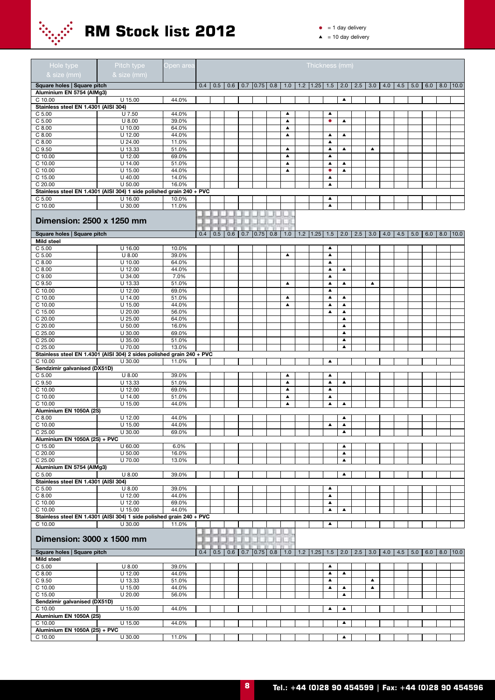

 $\bullet$  = 1 day delivery

| Hole type<br>& size (mm)                 | Pitch type<br>& size (mm)                                             | Open area      |     |             |                |                    |                                      | <u>Th</u> ickness (mm)   |                                      |                                       |     |                  |     |     |           |     |                    |
|------------------------------------------|-----------------------------------------------------------------------|----------------|-----|-------------|----------------|--------------------|--------------------------------------|--------------------------|--------------------------------------|---------------------------------------|-----|------------------|-----|-----|-----------|-----|--------------------|
| Square holes   Square pitch              |                                                                       |                | 0.4 | 0.5         | 0.6            | $0.7$ 0.75 0.8     | 1.0                                  | $1.2$   1.25   1.5       |                                      | $\begin{array}{c} 2.0 \\ \end{array}$ | 2.5 | 3.0              | 4.0 | 4.5 | 5.0       | 6.0 | $8.0$   10.0       |
| Aluminium EN 5754 (AlMg3)                |                                                                       |                |     |             |                |                    |                                      |                          |                                      |                                       |     |                  |     |     |           |     |                    |
| C 10.00                                  | U 15.00                                                               | 44.0%          |     |             |                |                    |                                      |                          |                                      | $\blacktriangle$                      |     |                  |     |     |           |     |                    |
| Stainless steel EN 1.4301 (AISI 304)     |                                                                       |                |     |             |                |                    |                                      |                          |                                      |                                       |     |                  |     |     |           |     |                    |
| C <sub>5.00</sub><br>C <sub>5.00</sub>   | U 7.50<br>$U$ 8.00                                                    | 44.0%<br>39.0% |     |             |                |                    | ▲<br>$\blacktriangle$                |                          | ▲<br>$\bullet$                       | ▲                                     |     |                  |     |     |           |     |                    |
| $C$ 8.00                                 | U 10.00                                                               | 64.0%          |     |             |                |                    | $\blacktriangle$                     |                          |                                      |                                       |     |                  |     |     |           |     |                    |
| $C$ 8.00                                 | $U$ 12.00                                                             | 44.0%          |     |             |                |                    | ▲                                    |                          | $\blacktriangle$                     | ▲                                     |     |                  |     |     |           |     |                    |
| $C$ 8.00                                 | U 24.00                                                               | 11.0%          |     |             |                |                    |                                      |                          | $\blacktriangle$                     |                                       |     |                  |     |     |           |     |                    |
| C 9.50                                   | U 13.33                                                               | 51.0%          |     |             |                |                    | $\blacktriangle$                     |                          | $\blacktriangle$                     | $\blacktriangle$                      |     | $\blacktriangle$ |     |     |           |     |                    |
| C 10.00                                  | $U$ 12.00                                                             | 69.0%          |     |             |                |                    | $\blacktriangle$                     |                          | $\blacktriangle$                     |                                       |     |                  |     |     |           |     |                    |
| C 10.00<br>C 10.00                       | U 14.00<br>U 15.00                                                    | 51.0%<br>44.0% |     |             |                |                    | $\blacktriangle$<br>$\blacktriangle$ |                          | $\blacktriangle$<br>$\bullet$        | ▲<br>$\blacktriangle$                 |     |                  |     |     |           |     |                    |
| C 15.00                                  | U 40.00                                                               | 14.0%          |     |             |                |                    |                                      |                          | ▲                                    |                                       |     |                  |     |     |           |     |                    |
| C 20.00                                  | U 50.00                                                               | 16.0%          |     |             |                |                    |                                      |                          | $\blacktriangle$                     |                                       |     |                  |     |     |           |     |                    |
|                                          | Stainless steel EN 1.4301 (AISI 304) 1 side polished grain 240 + PVC  |                |     |             |                |                    |                                      |                          |                                      |                                       |     |                  |     |     |           |     |                    |
| C <sub>5.00</sub>                        | $U$ 16.00                                                             | 10.0%          |     |             |                |                    |                                      |                          | ▲                                    |                                       |     |                  |     |     |           |     |                    |
| C 10.00                                  | U 30.00                                                               | 11.0%          |     |             |                |                    |                                      |                          | $\blacktriangle$                     |                                       |     |                  |     |     |           |     |                    |
|                                          |                                                                       |                |     |             |                |                    |                                      |                          |                                      |                                       |     |                  |     |     |           |     |                    |
| Dimension: 2500 x 1250 mm                |                                                                       |                |     |             |                |                    |                                      |                          |                                      |                                       |     |                  |     |     |           |     |                    |
| Square holes   Square pitch              |                                                                       |                | 0.4 | 0.5         | 0.6            | $0.7$   0.75   0.8 | 1.0                                  | $1.2$   1.25             | 1.5                                  | 2.0                                   | 2.5 | 3.0              | 4.0 | 4.5 | 5.0       | 6.0 | $8.0$   10.0       |
| <b>Mild steel</b>                        |                                                                       |                |     |             |                |                    |                                      |                          |                                      |                                       |     |                  |     |     |           |     |                    |
| C <sub>5.00</sub>                        | $U$ 16.00                                                             | 10.0%          |     |             |                |                    |                                      |                          | $\blacktriangle$                     |                                       |     |                  |     |     |           |     |                    |
| C <sub>5.00</sub>                        | $U$ 8.00                                                              | 39.0%          |     |             |                |                    | $\blacktriangle$                     |                          | $\blacktriangle$                     |                                       |     |                  |     |     |           |     |                    |
| $C$ 8.00                                 | U 10.00                                                               | 64.0%          |     |             |                |                    |                                      |                          | ▲                                    |                                       |     |                  |     |     |           |     |                    |
| $C$ 8.00<br>C <sub>9.00</sub>            | $U$ 12.00<br>U 34.00                                                  | 44.0%<br>7.0%  |     |             |                |                    |                                      |                          | $\blacktriangle$<br>$\blacktriangle$ | ▲                                     |     |                  |     |     |           |     |                    |
| C 9.50                                   | U 13.33                                                               | 51.0%          |     |             |                |                    | $\blacktriangle$                     |                          | $\blacktriangle$                     | ▲                                     |     | ▲                |     |     |           |     |                    |
| C 10.00                                  | $U$ 12.00                                                             | 69.0%          |     |             |                |                    |                                      |                          | $\blacktriangle$                     |                                       |     |                  |     |     |           |     |                    |
| C 10.00                                  | U 14.00                                                               | 51.0%          |     |             |                |                    | $\blacktriangle$                     |                          | $\blacktriangle$                     | ▲                                     |     |                  |     |     |           |     |                    |
| C 10.00                                  | U 15.00                                                               | 44.0%          |     |             |                |                    | $\blacktriangle$                     |                          | $\blacktriangle$                     | $\blacktriangle$                      |     |                  |     |     |           |     |                    |
| C 15.00                                  | U 20.00                                                               | 56.0%          |     |             |                |                    |                                      |                          | ▲                                    | ▲                                     |     |                  |     |     |           |     |                    |
| C 20.00                                  | U 25.00                                                               | 64.0%          |     |             |                |                    |                                      |                          |                                      | $\blacktriangle$<br>$\blacktriangle$  |     |                  |     |     |           |     |                    |
| C 20.00<br>C 25.00                       | U 50.00<br>U 30.00                                                    | 16.0%<br>69.0% |     |             |                |                    |                                      |                          |                                      | $\blacktriangle$                      |     |                  |     |     |           |     |                    |
| C 25.00                                  | U 35.00                                                               | 51.0%          |     |             |                |                    |                                      |                          |                                      | ▲                                     |     |                  |     |     |           |     |                    |
| C 25.00                                  | U 70.00                                                               | 13.0%          |     |             |                |                    |                                      |                          |                                      | $\blacktriangle$                      |     |                  |     |     |           |     |                    |
|                                          | Stainless steel EN 1.4301 (AISI 304) 2 sides polished grain 240 + PVC |                |     |             |                |                    |                                      |                          |                                      |                                       |     |                  |     |     |           |     |                    |
| C 10.00                                  | U 30.00                                                               | 11.0%          |     |             |                |                    |                                      |                          | $\blacktriangle$                     |                                       |     |                  |     |     |           |     |                    |
| Sendzimir galvanised (DX51D)             |                                                                       |                |     |             |                |                    |                                      |                          |                                      |                                       |     |                  |     |     |           |     |                    |
| C <sub>5.00</sub>                        | $U$ 8.00                                                              | 39.0%          |     |             |                |                    | $\blacktriangle$                     |                          | $\blacktriangle$                     |                                       |     |                  |     |     |           |     |                    |
| C 9.50<br>C 10.00                        | U 13.33<br>$U$ 12.00                                                  | 51.0%<br>69.0% |     |             |                |                    | $\blacktriangle$<br>$\blacktriangle$ |                          | $\blacktriangle$<br>$\blacktriangle$ | ▲                                     |     |                  |     |     |           |     |                    |
| C 10.00                                  | U 14.00                                                               | 51.0%          |     |             |                |                    | $\blacktriangle$                     |                          | $\blacktriangle$                     |                                       |     |                  |     |     |           |     |                    |
| C 10.00                                  | U 15.00                                                               | 44.0%          |     |             |                |                    | $\blacktriangle$                     |                          | $\blacktriangle$                     | $\blacktriangle$                      |     |                  |     |     |           |     |                    |
| Aluminium EN 1050A (2S)                  |                                                                       |                |     |             |                |                    |                                      |                          |                                      |                                       |     |                  |     |     |           |     |                    |
| $C$ 8.00                                 | $U$ 12.00                                                             | 44.0%          |     |             |                |                    |                                      |                          |                                      | ▲                                     |     |                  |     |     |           |     |                    |
| C 10.00                                  | U 15.00                                                               | 44.0%          |     |             |                |                    |                                      |                          | $\blacktriangle$                     | $\blacktriangle$                      |     |                  |     |     |           |     |                    |
| C 25.00<br>Aluminium EN 1050A (2S) + PVC | $U$ 30.00                                                             | 69.0%          |     |             |                |                    |                                      |                          |                                      | ▲                                     |     |                  |     |     |           |     |                    |
| C 15.00                                  | U 60.00                                                               | 6.0%           |     |             |                |                    |                                      |                          |                                      | ▲                                     |     |                  |     |     |           |     |                    |
| $C$ 20.00                                | $U$ 50.00                                                             | 16.0%          |     |             |                |                    |                                      |                          |                                      | $\blacktriangle$                      |     |                  |     |     |           |     |                    |
| C 25.00                                  | U 70.00                                                               | 13.0%          |     |             |                |                    |                                      |                          |                                      | ▲                                     |     |                  |     |     |           |     |                    |
| Aluminium EN 5754 (AlMg3)                |                                                                       |                |     |             |                |                    |                                      |                          |                                      |                                       |     |                  |     |     |           |     |                    |
| C <sub>5.00</sub>                        | $U$ 8.00                                                              | 39.0%          |     |             |                |                    |                                      |                          |                                      | $\blacktriangle$                      |     |                  |     |     |           |     |                    |
| Stainless steel EN 1.4301 (AISI 304)     |                                                                       |                |     |             |                |                    |                                      |                          |                                      |                                       |     |                  |     |     |           |     |                    |
| C <sub>5.00</sub><br>$C$ 8.00            | $U$ 8.00<br>$U$ 12.00                                                 | 39.0%<br>44.0% |     |             |                |                    |                                      |                          | $\blacktriangle$<br>$\blacktriangle$ |                                       |     |                  |     |     |           |     |                    |
| C 10.00                                  | $U$ 12.00                                                             | 69.0%          |     |             |                |                    |                                      |                          | $\blacktriangle$                     |                                       |     |                  |     |     |           |     |                    |
| $C$ 10.00                                | U 15.00                                                               | 44.0%          |     |             |                |                    |                                      |                          | ▲                                    | $\blacktriangle$                      |     |                  |     |     |           |     |                    |
|                                          | Stainless steel EN 1.4301 (AISI 304) 1 side polished grain 240 + PVC  |                |     |             |                |                    |                                      |                          |                                      |                                       |     |                  |     |     |           |     |                    |
| C 10.00                                  | U 30.00                                                               | 11.0%          |     |             |                |                    |                                      |                          | $\blacktriangle$                     |                                       |     |                  |     |     |           |     |                    |
| Dimension: 3000 x 1500 mm                |                                                                       |                |     |             | <b>CENTRAL</b> | .                  |                                      |                          |                                      |                                       |     |                  |     |     |           |     |                    |
| Square holes   Square pitch              |                                                                       |                |     | $0.4$   0.5 | 0.6            | $0.7$ 0.75 0.8     | 1.0                                  | $1.2$   1.25   1.5   2.0 |                                      |                                       |     | $2.5$ 3.0        | 4.0 |     | $4.5$ 5.0 |     | $6.0$   8.0   10.0 |
| <b>Mild steel</b>                        |                                                                       |                |     |             |                |                    |                                      |                          |                                      |                                       |     |                  |     |     |           |     |                    |
| C <sub>5.00</sub>                        | $U$ 8.00                                                              | 39.0%          |     |             |                |                    |                                      |                          | $\blacktriangle$                     |                                       |     |                  |     |     |           |     |                    |
| $C$ 8.00                                 | $U$ 12.00                                                             | 44.0%          |     |             |                |                    |                                      |                          | $\blacktriangle$                     | $\blacktriangle$                      |     |                  |     |     |           |     |                    |
| C 9.50                                   | U 13.33                                                               | 51.0%          |     |             |                |                    |                                      |                          | $\blacktriangle$                     |                                       |     | $\blacktriangle$ |     |     |           |     |                    |
| C 10.00                                  | U 15.00                                                               | 44.0%          |     |             |                |                    |                                      |                          | $\blacktriangle$                     | ▲<br>▲                                |     | $\blacktriangle$ |     |     |           |     |                    |
| C 15.00<br>Sendzimir galvanised (DX51D)  | U 20.00                                                               | 56.0%          |     |             |                |                    |                                      |                          |                                      |                                       |     |                  |     |     |           |     |                    |
| C 10.00                                  | U 15.00                                                               | 44.0%          |     |             |                |                    |                                      |                          | ▲                                    | $\blacktriangle$                      |     |                  |     |     |           |     |                    |
| Aluminium EN 1050A (2S)                  |                                                                       |                |     |             |                |                    |                                      |                          |                                      |                                       |     |                  |     |     |           |     |                    |
| C 10.00                                  | U 15.00                                                               | 44.0%          |     |             |                |                    |                                      |                          |                                      | ▲                                     |     |                  |     |     |           |     |                    |
| Aluminium EN 1050A (2S) + PVC            |                                                                       |                |     |             |                |                    |                                      |                          |                                      |                                       |     |                  |     |     |           |     |                    |
| C 10.00                                  | U 30.00                                                               | 11.0%          |     |             |                |                    |                                      |                          |                                      | $\blacktriangle$                      |     |                  |     |     |           |     |                    |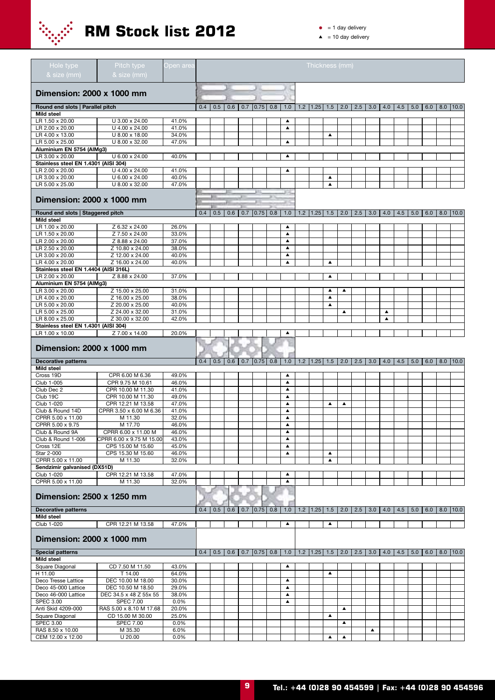

 $\bullet$  = 1 day delivery

| Hole type                                                | Pitch type                                    | Open area      |     |     |     |                    |                                      | Thickness (mm)                                                          |                  |                  |     |     |                  |     |           |             |                          |
|----------------------------------------------------------|-----------------------------------------------|----------------|-----|-----|-----|--------------------|--------------------------------------|-------------------------------------------------------------------------|------------------|------------------|-----|-----|------------------|-----|-----------|-------------|--------------------------|
| & size (mm)                                              | & size (mm)                                   |                |     |     |     |                    |                                      |                                                                         |                  |                  |     |     |                  |     |           |             |                          |
| Dimension: 2000 x 1000 mm                                |                                               |                |     |     |     |                    |                                      |                                                                         |                  |                  |     |     |                  |     |           |             |                          |
|                                                          |                                               |                |     |     |     |                    |                                      |                                                                         |                  |                  |     |     |                  |     |           |             |                          |
| Round end slots   Parallel pitch<br><b>Mild steel</b>    |                                               |                | 0.4 | 0.5 | 0.6 | $0.7$ 0.75 0.8     |                                      | $1.0$   1.2   1.25   1.5   2.0                                          |                  |                  | 2.5 |     | $3.0$   4.0      | 4.5 | 5.0       |             | $6.0$   8.0   10.0       |
| LR 1.50 x 20.00                                          | U 3.00 x 24.00                                | 41.0%          |     |     |     |                    | ▲                                    |                                                                         |                  |                  |     |     |                  |     |           |             |                          |
| LR 2.00 x 20.00                                          | U 4.00 x 24.00                                | 41.0%          |     |     |     |                    | $\blacktriangle$                     |                                                                         |                  |                  |     |     |                  |     |           |             |                          |
| LR 4.00 x 13.00                                          | U 8.00 x 18.00                                | 34.0%          |     |     |     |                    |                                      |                                                                         | ▲                |                  |     |     |                  |     |           |             |                          |
| LR 5.00 x 25.00                                          | U 8.00 x 32.00                                | 47.0%          |     |     |     |                    | $\blacktriangle$                     |                                                                         |                  |                  |     |     |                  |     |           |             |                          |
| Aluminium EN 5754 (AlMg3)<br>LR 3.00 x 20.00             | U 6.00 x 24.00                                | 40.0%          |     |     |     |                    | ▲                                    |                                                                         |                  |                  |     |     |                  |     |           |             |                          |
| Stainless steel EN 1.4301 (AISI 304)                     |                                               |                |     |     |     |                    |                                      |                                                                         |                  |                  |     |     |                  |     |           |             |                          |
| LR 2.00 x 20.00                                          | U 4.00 x 24.00                                | 41.0%          |     |     |     |                    | $\blacktriangle$                     |                                                                         |                  |                  |     |     |                  |     |           |             |                          |
| LR 3.00 x 20.00                                          | U 6.00 x 24.00                                | 40.0%          |     |     |     |                    |                                      |                                                                         | ▲                |                  |     |     |                  |     |           |             |                          |
| LR 5.00 x 25.00                                          | U 8.00 x 32.00                                | 47.0%          |     |     |     |                    |                                      |                                                                         | $\blacktriangle$ |                  |     |     |                  |     |           |             |                          |
| Dimension: 2000 x 1000 mm                                |                                               |                |     |     |     |                    |                                      |                                                                         |                  |                  |     |     |                  |     |           |             |                          |
| Round end slots   Staggered pitch                        |                                               |                | 0.4 | 0.5 | 0.6 | $0.7$ 0.75 0.8     | 1.0                                  | $1.2$   1.25   1.5   2.0                                                |                  |                  | 2.5 | 3.0 | 4.0              | 4.5 | 5.0   6.0 |             | $8.0$   10.0             |
| Mild steel                                               |                                               |                |     |     |     |                    |                                      |                                                                         |                  |                  |     |     |                  |     |           |             |                          |
| LR 1.00 x 20.00                                          | Z 6.32 x 24.00                                | 26.0%          |     |     |     |                    | $\blacktriangle$                     |                                                                         |                  |                  |     |     |                  |     |           |             |                          |
| LR 1.50 x 20.00                                          | Z 7.50 x 24.00                                | 33.0%          |     |     |     |                    | $\blacktriangle$                     |                                                                         |                  |                  |     |     |                  |     |           |             |                          |
| LR 2.00 x 20.00                                          | Z 8.88 x 24.00                                | 37.0%          |     |     |     |                    | $\blacktriangle$                     |                                                                         |                  |                  |     |     |                  |     |           |             |                          |
| LR 2.50 x 20.00                                          | Z 10.80 x 24.00                               | 38.0%          |     |     |     |                    | $\blacktriangle$                     |                                                                         |                  |                  |     |     |                  |     |           |             |                          |
| LR 3.00 x 20.00                                          | Z 12.00 x 24.00                               | 40.0%          |     |     |     |                    | ▲                                    |                                                                         |                  |                  |     |     |                  |     |           |             |                          |
| LR 4.00 x 20.00                                          | Z 16.00 x 24.00                               | 40.0%          |     |     |     |                    | $\blacktriangle$                     |                                                                         | ▲                |                  |     |     |                  |     |           |             |                          |
| Stainless steel EN 1.4404 (AISI 316L)<br>LR 2.00 x 20.00 | Z 8.88 x 24.00                                | 37.0%          |     |     |     |                    |                                      |                                                                         | ▲                |                  |     |     |                  |     |           |             |                          |
| Aluminium EN 5754 (AlMg3)                                |                                               |                |     |     |     |                    |                                      |                                                                         |                  |                  |     |     |                  |     |           |             |                          |
| LR 3.00 x 20.00                                          | Z 15.00 x 25.00                               | 31.0%          |     |     |     |                    |                                      |                                                                         | $\blacktriangle$ | $\blacktriangle$ |     |     |                  |     |           |             |                          |
| LR 4.00 x 20.00                                          | Z 16.00 x 25.00                               | 38.0%          |     |     |     |                    |                                      |                                                                         | $\blacktriangle$ |                  |     |     |                  |     |           |             |                          |
| LR 5.00 x 20.00                                          | Z 20.00 x 25.00                               | 40.0%          |     |     |     |                    |                                      |                                                                         | $\blacktriangle$ |                  |     |     |                  |     |           |             |                          |
| LR 5.00 x 25.00                                          | Z 24.00 x 32.00                               | 31.0%          |     |     |     |                    |                                      |                                                                         |                  | ▲                |     |     | ▲                |     |           |             |                          |
| LR 8.00 x 25.00<br>Stainless steel EN 1.4301 (AISI 304)  | Z 30.00 x 32.00                               | 42.0%          |     |     |     |                    |                                      |                                                                         |                  |                  |     |     | $\blacktriangle$ |     |           |             |                          |
| LR 1.00 x 10.00                                          | Z 7.00 x 14.00                                | 20.0%          |     |     |     |                    | ▲                                    |                                                                         |                  |                  |     |     |                  |     |           |             |                          |
| Dimension: 2000 x 1000 mm                                |                                               |                |     |     |     |                    |                                      |                                                                         |                  |                  |     |     |                  |     |           |             |                          |
| <b>Decorative patterns</b>                               |                                               |                | 0.4 | 0.5 | 0.6 | $0.7$ 0.75 0.8     | 1.0                                  | 1.2   1.25   1.5   2.0   2.5   3.0   4.0   4.5   5.0   6.0   8.0   10.0 |                  |                  |     |     |                  |     |           |             |                          |
| Mild steel                                               |                                               |                |     |     |     |                    |                                      |                                                                         |                  |                  |     |     |                  |     |           |             |                          |
| Cross 19D                                                | CPR 6.00 M 6.36                               | 49.0%          |     |     |     |                    | ▲                                    |                                                                         |                  |                  |     |     |                  |     |           |             |                          |
| Club 1-005                                               | CPR 9.75 M 10.61                              | 46.0%          |     |     |     |                    | $\blacktriangle$                     |                                                                         |                  |                  |     |     |                  |     |           |             |                          |
| Club Dec 2<br>Club 19C                                   | CPR 10.00 M 11.30<br>CPR 10.00 M 11.30        | 41.0%<br>49.0% |     |     |     |                    | $\blacktriangle$<br>$\blacktriangle$ |                                                                         |                  |                  |     |     |                  |     |           |             |                          |
| Club 1-020                                               | CPR 12.21 M 13.58                             | 47.0%          |     |     |     |                    | $\blacktriangle$                     |                                                                         | $\blacktriangle$ | $\blacktriangle$ |     |     |                  |     |           |             |                          |
| Club & Round 14D                                         | CPRR 3.50 x 6.00 M 6.36                       | 41.0%          |     |     |     |                    | ▲                                    |                                                                         |                  |                  |     |     |                  |     |           |             |                          |
| CPRR 5.00 x 11.00                                        | M 11.30                                       | 32.0%          |     |     |     |                    | ▲                                    |                                                                         |                  |                  |     |     |                  |     |           |             |                          |
| CPRR 5.00 x 9.75                                         | M 17.70                                       | 46.0%          |     |     |     |                    |                                      |                                                                         |                  |                  |     |     |                  |     |           |             |                          |
| Club & Round 9A                                          | CPRR 6.00 x 11.00 M                           | 46.0%          |     |     |     |                    | $\blacktriangle$                     |                                                                         |                  |                  |     |     |                  |     |           |             |                          |
| Club & Round 1-006<br>Cross 12E                          | CPRR 6.00 x 9.75 M 15.00<br>CPS 15.00 M 15.60 | 43.0%          |     |     |     |                    | $\blacktriangle$<br>$\blacktriangle$ |                                                                         |                  |                  |     |     |                  |     |           |             |                          |
| Star 2-000                                               | CPS 15.30 M 15.60                             | 45.0%<br>46.0% |     |     |     |                    | $\blacktriangle$                     |                                                                         | $\blacktriangle$ |                  |     |     |                  |     |           |             |                          |
| CPRR 5.00 x 11.00                                        | M 11.30                                       | 32.0%          |     |     |     |                    |                                      |                                                                         | ▲                |                  |     |     |                  |     |           |             |                          |
| Sendzimir galvanised (DX51D)                             |                                               |                |     |     |     |                    |                                      |                                                                         |                  |                  |     |     |                  |     |           |             |                          |
| Club 1-020                                               | CPR 12.21 M 13.58                             | 47.0%          |     |     |     |                    | ▲                                    |                                                                         |                  |                  |     |     |                  |     |           |             |                          |
| CPRR 5.00 x 11.00                                        | M 11.30                                       | 32.0%          |     |     |     |                    | ▲                                    |                                                                         |                  |                  |     |     |                  |     |           |             |                          |
| Dimension: 2500 x 1250 mm                                |                                               |                |     |     |     |                    |                                      |                                                                         |                  |                  |     |     |                  |     |           |             |                          |
| <b>Decorative patterns</b>                               |                                               |                | 0.4 | 0.5 | 0.6 | $0.7$ $0.75$ $0.8$ | 1.0                                  | 1.2   1.25   1.5   2.0   2.5                                            |                  |                  |     |     | $3.0 \mid 4.0$   | 4.5 |           |             | $5.0$   6.0   8.0   10.0 |
| Mild steel                                               |                                               |                |     |     |     |                    |                                      |                                                                         |                  |                  |     |     |                  |     |           |             |                          |
| Club 1-020                                               | CPR 12.21 M 13.58                             | 47.0%          |     |     |     |                    | $\blacktriangle$                     |                                                                         | $\blacktriangle$ |                  |     |     |                  |     |           |             |                          |
| Dimension: 2000 x 1000 mm                                |                                               |                |     |     |     |                    |                                      |                                                                         |                  |                  |     |     |                  |     |           |             |                          |
| <b>Special patterns</b><br>Mild steel                    |                                               |                | 0.4 | 0.5 | 0.6 | $0.7$ 0.75 0.8     | 1.0                                  | $1.2$   1.25   1.5   2.0                                                |                  |                  | 2.5 | 3.0 | 4.0              | 4.5 |           | $5.0$   6.0 | $8.0$   10.0             |
| Square Diagonal                                          | CD 7.50 M 11.50                               | 43.0%          |     |     |     |                    | $\blacktriangle$                     |                                                                         |                  |                  |     |     |                  |     |           |             |                          |
| H 11.00                                                  | T 14.00                                       | 64.0%          |     |     |     |                    |                                      |                                                                         | $\blacktriangle$ |                  |     |     |                  |     |           |             |                          |
| Deco Tresse Lattice                                      | DEC 10.00 M 18.00                             | 30.0%          |     |     |     |                    | $\blacktriangle$                     |                                                                         |                  |                  |     |     |                  |     |           |             |                          |
| Deco 45-000 Lattice                                      | DEC 10.50 M 18.50                             | 29.0%          |     |     |     |                    | $\blacktriangle$                     |                                                                         |                  |                  |     |     |                  |     |           |             |                          |
| Deco 46-000 Lattice                                      | DEC 34.5 x 48 Z 55x 55                        | 38.0%          |     |     |     |                    | $\blacktriangle$                     |                                                                         |                  |                  |     |     |                  |     |           |             |                          |
| <b>SPEC 3.00</b>                                         | <b>SPEC 7.00</b>                              | 0.0%           |     |     |     |                    | $\blacktriangle$                     |                                                                         |                  |                  |     |     |                  |     |           |             |                          |
| Anti Skid 4209-000<br>Square Diagonal                    | RAS 5.00 x 8.10 M 17.68<br>CD 15.00 M 30.00   | 20.0%<br>25.0% |     |     |     |                    |                                      |                                                                         | $\blacktriangle$ | $\blacktriangle$ |     |     |                  |     |           |             |                          |
| <b>SPEC 3.00</b>                                         | <b>SPEC 7.00</b>                              | 0.0%           |     |     |     |                    |                                      |                                                                         |                  | $\blacktriangle$ |     |     |                  |     |           |             |                          |
| RAS 8.50 x 10.00                                         | M 35.30                                       | 6.0%           |     |     |     |                    |                                      |                                                                         |                  |                  |     | ▲   |                  |     |           |             |                          |
| CEM 12.00 x 12.00                                        | $U$ 20.00                                     | 0.0%           |     |     |     |                    |                                      |                                                                         | $\blacktriangle$ | $\blacktriangle$ |     |     |                  |     |           |             |                          |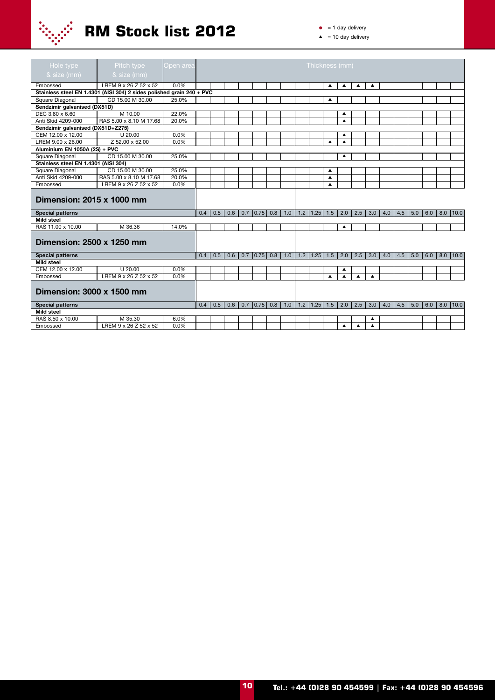

| Hole type                            | Pitch type                                                            | Open area |     |     |     |            |     |     |     | Thickness (mm) |                  |                  |                  |     |     |     |     |     |     |              |
|--------------------------------------|-----------------------------------------------------------------------|-----------|-----|-----|-----|------------|-----|-----|-----|----------------|------------------|------------------|------------------|-----|-----|-----|-----|-----|-----|--------------|
| & size (mm)                          | & size (mm)                                                           |           |     |     |     |            |     |     |     |                |                  |                  |                  |     |     |     |     |     |     |              |
| Embossed                             | LREM 9 x 26 Z 52 x 52                                                 | 0.0%      |     |     |     |            |     |     |     |                | ▲                | ▲                | ▲                | ▲   |     |     |     |     |     |              |
|                                      | Stainless steel EN 1.4301 (AISI 304) 2 sides polished grain 240 + PVC |           |     |     |     |            |     |     |     |                |                  |                  |                  |     |     |     |     |     |     |              |
| Square Diagonal                      | CD 15.00 M 30.00                                                      | 25.0%     |     |     |     |            |     |     |     |                | ▲                |                  |                  |     |     |     |     |     |     |              |
| Sendzimir galvanised (DX51D)         |                                                                       |           |     |     |     |            |     |     |     |                |                  |                  |                  |     |     |     |     |     |     |              |
| DEC 3.80 x 6.60                      | M 10.00                                                               | 22.0%     |     |     |     |            |     |     |     |                |                  | ▲                |                  |     |     |     |     |     |     |              |
| Anti Skid 4209-000                   | RAS 5.00 x 8.10 M 17.68                                               | 20.0%     |     |     |     |            |     |     |     |                |                  | ▲                |                  |     |     |     |     |     |     |              |
| Sendzimir galvanised (DX51D+Z275)    |                                                                       |           |     |     |     |            |     |     |     |                |                  |                  |                  |     |     |     |     |     |     |              |
| CEM 12.00 x 12.00                    | $U$ 20.00                                                             | 0.0%      |     |     |     |            |     |     |     |                |                  | ▲                |                  |     |     |     |     |     |     |              |
| LREM 9.00 x 26.00                    | Z 52.00 x 52.00                                                       | 0.0%      |     |     |     |            |     |     |     |                | ▲                | ▲                |                  |     |     |     |     |     |     |              |
| Aluminium EN 1050A (2S) + PVC        |                                                                       |           |     |     |     |            |     |     |     |                |                  |                  |                  |     |     |     |     |     |     |              |
| Square Diagonal                      | CD 15.00 M 30.00                                                      | 25.0%     |     |     |     |            |     |     |     |                |                  | ▲                |                  |     |     |     |     |     |     |              |
| Stainless steel EN 1.4301 (AISI 304) |                                                                       |           |     |     |     |            |     |     |     |                |                  |                  |                  |     |     |     |     |     |     |              |
| Square Diagonal                      | CD 15.00 M 30.00                                                      | 25.0%     |     |     |     |            |     |     |     |                | ▲                |                  |                  |     |     |     |     |     |     |              |
| Anti Skid 4209-000                   | RAS 5.00 x 8.10 M 17.68                                               | 20.0%     |     |     |     |            |     |     |     |                | ▲                |                  |                  |     |     |     |     |     |     |              |
| Embossed                             | LREM 9 x 26 Z 52 x 52                                                 | 0.0%      |     |     |     |            |     |     |     |                | ▲                |                  |                  |     |     |     |     |     |     |              |
| Dimension: 2015 x 1000 mm            |                                                                       |           |     |     |     |            |     |     |     |                |                  |                  |                  |     |     |     |     |     |     |              |
| <b>Special patterns</b>              |                                                                       |           | 0.4 | 0.5 | 0.6 | $0.7$ 0.75 | 0.8 | 1.0 | 1.2 | 1.25           | 1.5              | 2.0              | 2.5              | 3.0 | 4.0 | 4.5 | 5.0 | 6.0 | 8.0 | 10.0         |
| <b>Mild steel</b>                    |                                                                       |           |     |     |     |            |     |     |     |                |                  |                  |                  |     |     |     |     |     |     |              |
| RAS 11.00 x 10.00                    | M 36.36                                                               | 14.0%     |     |     |     |            |     |     |     |                |                  | ▲                |                  |     |     |     |     |     |     |              |
| Dimension: 2500 x 1250 mm            |                                                                       |           |     |     |     |            |     |     |     |                |                  |                  |                  |     |     |     |     |     |     |              |
| <b>Special patterns</b>              |                                                                       |           | 0.4 | 0.5 | 0.6 | $0.7$ 0.75 | 0.8 | 1.0 | 1.2 | 1.25           | 1.5              | 2.0              | 2.5              | 3.0 | 4.0 | 4.5 | 5.0 | 6.0 | 8.0 | 10.0         |
| <b>Mild steel</b>                    |                                                                       |           |     |     |     |            |     |     |     |                |                  |                  |                  |     |     |     |     |     |     |              |
| CEM 12.00 x 12.00                    | U 20.00                                                               | 0.0%      |     |     |     |            |     |     |     |                |                  | ▲                |                  |     |     |     |     |     |     |              |
| Embossed                             | LREM 9 x 26 Z 52 x 52                                                 | 0.0%      |     |     |     |            |     |     |     |                | $\blacktriangle$ | ▴                | $\blacktriangle$ | ▲   |     |     |     |     |     |              |
| Dimension: 3000 x 1500 mm            |                                                                       |           |     |     |     |            |     |     |     |                |                  |                  |                  |     |     |     |     |     |     |              |
| <b>Special patterns</b>              |                                                                       |           | 0.4 | 0.5 | 0.6 | $0.7$ 0.75 | 0.8 | 1.0 | 1.2 | 1.25           | 1.5              | 2.0              | 2.5              | 3.0 | 4.0 | 4.5 | 5.0 | 6.0 |     | $8.0$   10.0 |
| <b>Mild steel</b>                    |                                                                       |           |     |     |     |            |     |     |     |                |                  |                  |                  |     |     |     |     |     |     |              |
| RAS 8.50 x 10.00                     | M 35.30                                                               | 6.0%      |     |     |     |            |     |     |     |                |                  |                  |                  | ▲   |     |     |     |     |     |              |
| Embossed                             | LREM 9 x 26 Z 52 x 52                                                 | 0.0%      |     |     |     |            |     |     |     |                |                  | $\blacktriangle$ | $\blacktriangle$ | ▲   |     |     |     |     |     |              |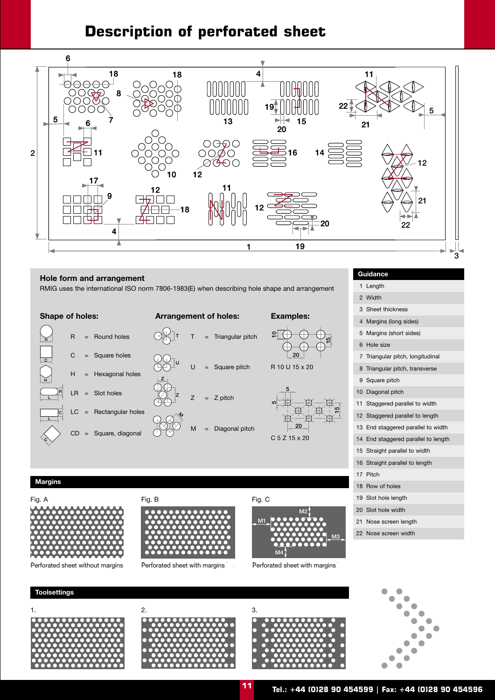#### **Description of perforated sheet**



**Hole form and arrangement**<br> **BMIG uses the international ISO norm 7806-1983(F) when describing hole shape and arrangement** 1 Length RMIG uses the international ISO norm 7806-1983(E) when describing hole shape and arrangement



ا¤ٍ

15

2 Width 3 Sheet thickness 4 Margins (long sides) 6 Hole size 9 Square pitch 11 Staggered parallel to width C 5 Z 15 x 20 14 End staggered parallel to length 15 Straight parallel to width 16 Straight parallel to length 17 Pitch 18 Row of holes 20 Slot hole width 21 Nose screen length 22 Nose screen width 5 Margins (short sides) 12 Staggered parallel to length 13 End staggered parallel to width

#### **Margins**



Perforated sheet without margins Perforated sheet with margins Perforated sheet with margins